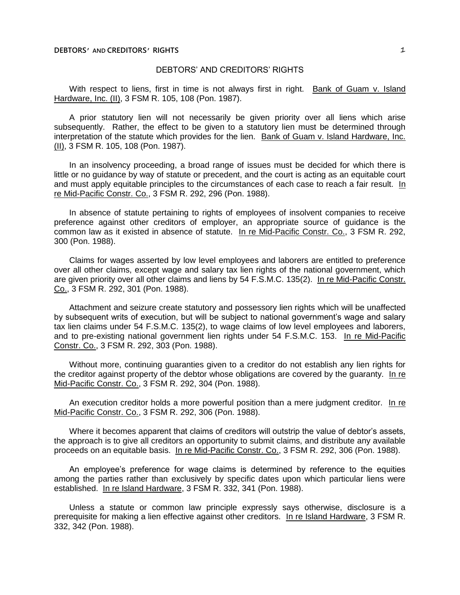With respect to liens, first in time is not always first in right. Bank of Guam v. Island Hardware, Inc. (II), 3 FSM R. 105, 108 (Pon. 1987).

A prior statutory lien will not necessarily be given priority over all liens which arise subsequently. Rather, the effect to be given to a statutory lien must be determined through interpretation of the statute which provides for the lien. Bank of Guam v. Island Hardware, Inc. (II), 3 FSM R. 105, 108 (Pon. 1987).

In an insolvency proceeding, a broad range of issues must be decided for which there is little or no guidance by way of statute or precedent, and the court is acting as an equitable court and must apply equitable principles to the circumstances of each case to reach a fair result. In re Mid-Pacific Constr. Co., 3 FSM R. 292, 296 (Pon. 1988).

In absence of statute pertaining to rights of employees of insolvent companies to receive preference against other creditors of employer, an appropriate source of guidance is the common law as it existed in absence of statute. In re Mid-Pacific Constr. Co., 3 FSM R. 292, 300 (Pon. 1988).

Claims for wages asserted by low level employees and laborers are entitled to preference over all other claims, except wage and salary tax lien rights of the national government, which are given priority over all other claims and liens by 54 F.S.M.C. 135(2). In re Mid-Pacific Constr. Co., 3 FSM R. 292, 301 (Pon. 1988).

Attachment and seizure create statutory and possessory lien rights which will be unaffected by subsequent writs of execution, but will be subject to national government's wage and salary tax lien claims under 54 F.S.M.C. 135(2), to wage claims of low level employees and laborers, and to pre-existing national government lien rights under 54 F.S.M.C. 153. In re Mid-Pacific Constr. Co., 3 FSM R. 292, 303 (Pon. 1988).

Without more, continuing guaranties given to a creditor do not establish any lien rights for the creditor against property of the debtor whose obligations are covered by the guaranty. In re Mid-Pacific Constr. Co., 3 FSM R. 292, 304 (Pon. 1988).

An execution creditor holds a more powerful position than a mere judgment creditor. In re Mid-Pacific Constr. Co., 3 FSM R. 292, 306 (Pon. 1988).

Where it becomes apparent that claims of creditors will outstrip the value of debtor's assets, the approach is to give all creditors an opportunity to submit claims, and distribute any available proceeds on an equitable basis. In re Mid-Pacific Constr. Co., 3 FSM R. 292, 306 (Pon. 1988).

An employee's preference for wage claims is determined by reference to the equities among the parties rather than exclusively by specific dates upon which particular liens were established. In re Island Hardware, 3 FSM R. 332, 341 (Pon. 1988).

Unless a statute or common law principle expressly says otherwise, disclosure is a prerequisite for making a lien effective against other creditors. In re Island Hardware, 3 FSM R. 332, 342 (Pon. 1988).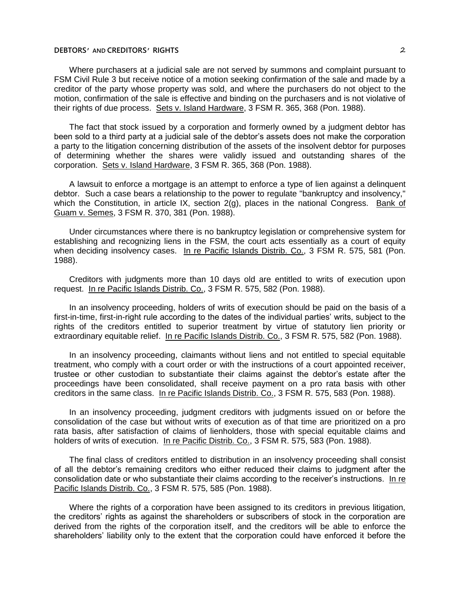Where purchasers at a judicial sale are not served by summons and complaint pursuant to FSM Civil Rule 3 but receive notice of a motion seeking confirmation of the sale and made by a creditor of the party whose property was sold, and where the purchasers do not object to the motion, confirmation of the sale is effective and binding on the purchasers and is not violative of their rights of due process. Sets v. Island Hardware, 3 FSM R. 365, 368 (Pon. 1988).

The fact that stock issued by a corporation and formerly owned by a judgment debtor has been sold to a third party at a judicial sale of the debtor's assets does not make the corporation a party to the litigation concerning distribution of the assets of the insolvent debtor for purposes of determining whether the shares were validly issued and outstanding shares of the corporation. Sets v. Island Hardware, 3 FSM R. 365, 368 (Pon. 1988).

A lawsuit to enforce a mortgage is an attempt to enforce a type of lien against a delinquent debtor. Such a case bears a relationship to the power to regulate "bankruptcy and insolvency," which the Constitution, in article IX, section 2(g), places in the national Congress. Bank of Guam v. Semes, 3 FSM R. 370, 381 (Pon. 1988).

Under circumstances where there is no bankruptcy legislation or comprehensive system for establishing and recognizing liens in the FSM, the court acts essentially as a court of equity when deciding insolvency cases. In re Pacific Islands Distrib. Co., 3 FSM R. 575, 581 (Pon. 1988).

Creditors with judgments more than 10 days old are entitled to writs of execution upon request. In re Pacific Islands Distrib. Co., 3 FSM R. 575, 582 (Pon. 1988).

In an insolvency proceeding, holders of writs of execution should be paid on the basis of a first-in-time, first-in-right rule according to the dates of the individual parties' writs, subject to the rights of the creditors entitled to superior treatment by virtue of statutory lien priority or extraordinary equitable relief. In re Pacific Islands Distrib. Co., 3 FSM R. 575, 582 (Pon. 1988).

In an insolvency proceeding, claimants without liens and not entitled to special equitable treatment, who comply with a court order or with the instructions of a court appointed receiver, trustee or other custodian to substantiate their claims against the debtor's estate after the proceedings have been consolidated, shall receive payment on a pro rata basis with other creditors in the same class. In re Pacific Islands Distrib. Co., 3 FSM R. 575, 583 (Pon. 1988).

In an insolvency proceeding, judgment creditors with judgments issued on or before the consolidation of the case but without writs of execution as of that time are prioritized on a pro rata basis, after satisfaction of claims of lienholders, those with special equitable claims and holders of writs of execution. In re Pacific Distrib. Co., 3 FSM R. 575, 583 (Pon. 1988).

The final class of creditors entitled to distribution in an insolvency proceeding shall consist of all the debtor's remaining creditors who either reduced their claims to judgment after the consolidation date or who substantiate their claims according to the receiver's instructions. In re Pacific Islands Distrib. Co., 3 FSM R. 575, 585 (Pon. 1988).

Where the rights of a corporation have been assigned to its creditors in previous litigation, the creditors' rights as against the shareholders or subscribers of stock in the corporation are derived from the rights of the corporation itself, and the creditors will be able to enforce the shareholders' liability only to the extent that the corporation could have enforced it before the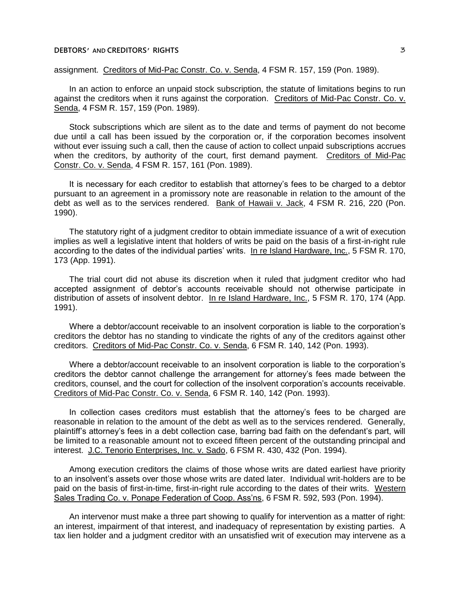assignment. Creditors of Mid-Pac Constr. Co. v. Senda, 4 FSM R. 157, 159 (Pon. 1989).

In an action to enforce an unpaid stock subscription, the statute of limitations begins to run against the creditors when it runs against the corporation. Creditors of Mid-Pac Constr. Co. v. Senda, 4 FSM R. 157, 159 (Pon. 1989).

Stock subscriptions which are silent as to the date and terms of payment do not become due until a call has been issued by the corporation or, if the corporation becomes insolvent without ever issuing such a call, then the cause of action to collect unpaid subscriptions accrues when the creditors, by authority of the court, first demand payment. Creditors of Mid-Pac Constr. Co. v. Senda, 4 FSM R. 157, 161 (Pon. 1989).

It is necessary for each creditor to establish that attorney's fees to be charged to a debtor pursuant to an agreement in a promissory note are reasonable in relation to the amount of the debt as well as to the services rendered. Bank of Hawaii v. Jack, 4 FSM R. 216, 220 (Pon. 1990).

The statutory right of a judgment creditor to obtain immediate issuance of a writ of execution implies as well a legislative intent that holders of writs be paid on the basis of a first-in-right rule according to the dates of the individual parties' writs. In re Island Hardware, Inc., 5 FSM R. 170, 173 (App. 1991).

The trial court did not abuse its discretion when it ruled that judgment creditor who had accepted assignment of debtor's accounts receivable should not otherwise participate in distribution of assets of insolvent debtor. In re Island Hardware, Inc., 5 FSM R. 170, 174 (App. 1991).

Where a debtor/account receivable to an insolvent corporation is liable to the corporation's creditors the debtor has no standing to vindicate the rights of any of the creditors against other creditors. Creditors of Mid-Pac Constr. Co. v. Senda, 6 FSM R. 140, 142 (Pon. 1993).

Where a debtor/account receivable to an insolvent corporation is liable to the corporation's creditors the debtor cannot challenge the arrangement for attorney's fees made between the creditors, counsel, and the court for collection of the insolvent corporation's accounts receivable. Creditors of Mid-Pac Constr. Co. v. Senda, 6 FSM R. 140, 142 (Pon. 1993).

In collection cases creditors must establish that the attorney's fees to be charged are reasonable in relation to the amount of the debt as well as to the services rendered. Generally, plaintiff's attorney's fees in a debt collection case, barring bad faith on the defendant's part, will be limited to a reasonable amount not to exceed fifteen percent of the outstanding principal and interest. J.C. Tenorio Enterprises, Inc. v. Sado, 6 FSM R. 430, 432 (Pon. 1994).

Among execution creditors the claims of those whose writs are dated earliest have priority to an insolvent's assets over those whose writs are dated later. Individual writ-holders are to be paid on the basis of first-in-time, first-in-right rule according to the dates of their writs. Western Sales Trading Co. v. Ponape Federation of Coop. Ass'ns, 6 FSM R. 592, 593 (Pon. 1994).

An intervenor must make a three part showing to qualify for intervention as a matter of right: an interest, impairment of that interest, and inadequacy of representation by existing parties. A tax lien holder and a judgment creditor with an unsatisfied writ of execution may intervene as a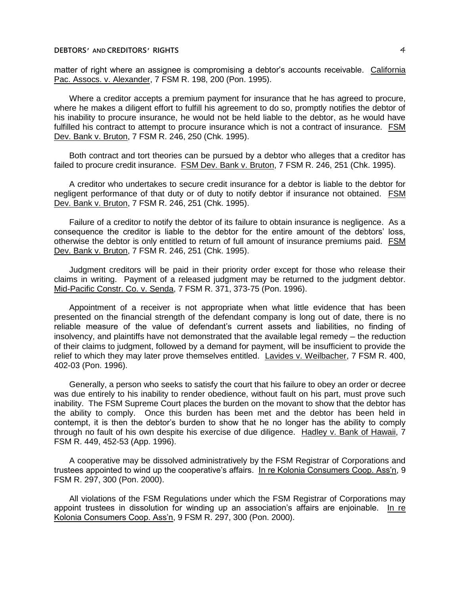matter of right where an assignee is compromising a debtor's accounts receivable. California Pac. Assocs. v. Alexander, 7 FSM R. 198, 200 (Pon. 1995).

Where a creditor accepts a premium payment for insurance that he has agreed to procure, where he makes a diligent effort to fulfill his agreement to do so, promptly notifies the debtor of his inability to procure insurance, he would not be held liable to the debtor, as he would have fulfilled his contract to attempt to procure insurance which is not a contract of insurance. FSM Dev. Bank v. Bruton, 7 FSM R. 246, 250 (Chk. 1995).

Both contract and tort theories can be pursued by a debtor who alleges that a creditor has failed to procure credit insurance. FSM Dev. Bank v. Bruton, 7 FSM R. 246, 251 (Chk. 1995).

A creditor who undertakes to secure credit insurance for a debtor is liable to the debtor for negligent performance of that duty or of duty to notify debtor if insurance not obtained. FSM Dev. Bank v. Bruton, 7 FSM R. 246, 251 (Chk. 1995).

Failure of a creditor to notify the debtor of its failure to obtain insurance is negligence. As a consequence the creditor is liable to the debtor for the entire amount of the debtors' loss, otherwise the debtor is only entitled to return of full amount of insurance premiums paid. FSM Dev. Bank v. Bruton, 7 FSM R. 246, 251 (Chk. 1995).

Judgment creditors will be paid in their priority order except for those who release their claims in writing. Payment of a released judgment may be returned to the judgment debtor. Mid-Pacific Constr. Co. v. Senda, 7 FSM R. 371, 373-75 (Pon. 1996).

Appointment of a receiver is not appropriate when what little evidence that has been presented on the financial strength of the defendant company is long out of date, there is no reliable measure of the value of defendant's current assets and liabilities, no finding of insolvency, and plaintiffs have not demonstrated that the available legal remedy — the reduction of their claims to judgment, followed by a demand for payment, will be insufficient to provide the relief to which they may later prove themselves entitled. Lavides v. Weilbacher, 7 FSM R. 400, 402-03 (Pon. 1996).

Generally, a person who seeks to satisfy the court that his failure to obey an order or decree was due entirely to his inability to render obedience, without fault on his part, must prove such inability. The FSM Supreme Court places the burden on the movant to show that the debtor has the ability to comply. Once this burden has been met and the debtor has been held in contempt, it is then the debtor's burden to show that he no longer has the ability to comply through no fault of his own despite his exercise of due diligence. Hadley v. Bank of Hawaii, 7 FSM R. 449, 452-53 (App. 1996).

A cooperative may be dissolved administratively by the FSM Registrar of Corporations and trustees appointed to wind up the cooperative's affairs. In re Kolonia Consumers Coop. Ass'n, 9 FSM R. 297, 300 (Pon. 2000).

All violations of the FSM Regulations under which the FSM Registrar of Corporations may appoint trustees in dissolution for winding up an association's affairs are enjoinable. In re Kolonia Consumers Coop. Ass'n, 9 FSM R. 297, 300 (Pon. 2000).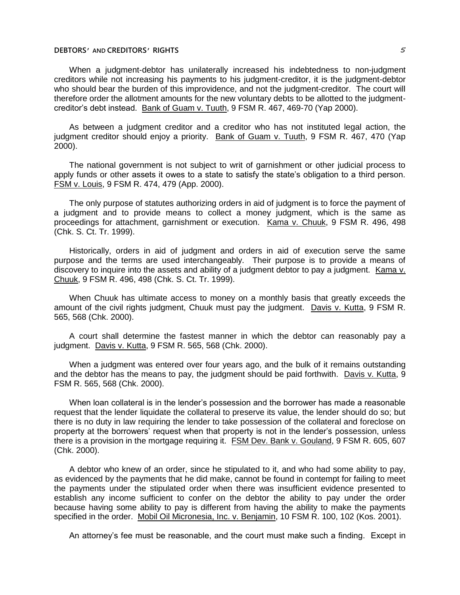When a judgment-debtor has unilaterally increased his indebtedness to non-judgment creditors while not increasing his payments to his judgment-creditor, it is the judgment-debtor who should bear the burden of this improvidence, and not the judgment-creditor. The court will therefore order the allotment amounts for the new voluntary debts to be allotted to the judgmentcreditor's debt instead. Bank of Guam v. Tuuth, 9 FSM R. 467, 469-70 (Yap 2000).

As between a judgment creditor and a creditor who has not instituted legal action, the judgment creditor should enjoy a priority. Bank of Guam v. Tuuth, 9 FSM R. 467, 470 (Yap 2000).

The national government is not subject to writ of garnishment or other judicial process to apply funds or other assets it owes to a state to satisfy the state's obligation to a third person. FSM v. Louis, 9 FSM R. 474, 479 (App. 2000).

The only purpose of statutes authorizing orders in aid of judgment is to force the payment of a judgment and to provide means to collect a money judgment, which is the same as proceedings for attachment, garnishment or execution. Kama v. Chuuk, 9 FSM R. 496, 498 (Chk. S. Ct. Tr. 1999).

Historically, orders in aid of judgment and orders in aid of execution serve the same purpose and the terms are used interchangeably. Their purpose is to provide a means of discovery to inquire into the assets and ability of a judgment debtor to pay a judgment. Kama v. Chuuk, 9 FSM R. 496, 498 (Chk. S. Ct. Tr. 1999).

When Chuuk has ultimate access to money on a monthly basis that greatly exceeds the amount of the civil rights judgment, Chuuk must pay the judgment. Davis v. Kutta, 9 FSM R. 565, 568 (Chk. 2000).

A court shall determine the fastest manner in which the debtor can reasonably pay a judgment. Davis v. Kutta, 9 FSM R. 565, 568 (Chk. 2000).

When a judgment was entered over four years ago, and the bulk of it remains outstanding and the debtor has the means to pay, the judgment should be paid forthwith. Davis v. Kutta, 9 FSM R. 565, 568 (Chk. 2000).

When loan collateral is in the lender's possession and the borrower has made a reasonable request that the lender liquidate the collateral to preserve its value, the lender should do so; but there is no duty in law requiring the lender to take possession of the collateral and foreclose on property at the borrowers' request when that property is not in the lender's possession, unless there is a provision in the mortgage requiring it. FSM Dev. Bank v. Gouland, 9 FSM R. 605, 607 (Chk. 2000).

A debtor who knew of an order, since he stipulated to it, and who had some ability to pay, as evidenced by the payments that he did make, cannot be found in contempt for failing to meet the payments under the stipulated order when there was insufficient evidence presented to establish any income sufficient to confer on the debtor the ability to pay under the order because having some ability to pay is different from having the ability to make the payments specified in the order. Mobil Oil Micronesia, Inc. v. Benjamin, 10 FSM R. 100, 102 (Kos. 2001).

An attorney's fee must be reasonable, and the court must make such a finding. Except in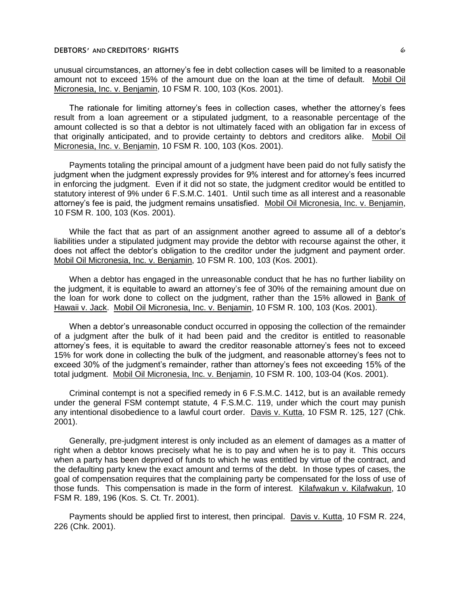unusual circumstances, an attorney's fee in debt collection cases will be limited to a reasonable amount not to exceed 15% of the amount due on the loan at the time of default. Mobil Oil Micronesia, Inc. v. Benjamin, 10 FSM R. 100, 103 (Kos. 2001).

The rationale for limiting attorney's fees in collection cases, whether the attorney's fees result from a loan agreement or a stipulated judgment, to a reasonable percentage of the amount collected is so that a debtor is not ultimately faced with an obligation far in excess of that originally anticipated, and to provide certainty to debtors and creditors alike. Mobil Oil Micronesia, Inc. v. Benjamin, 10 FSM R. 100, 103 (Kos. 2001).

Payments totaling the principal amount of a judgment have been paid do not fully satisfy the judgment when the judgment expressly provides for 9% interest and for attorney's fees incurred in enforcing the judgment. Even if it did not so state, the judgment creditor would be entitled to statutory interest of 9% under 6 F.S.M.C. 1401. Until such time as all interest and a reasonable attorney's fee is paid, the judgment remains unsatisfied. Mobil Oil Micronesia, Inc. v. Benjamin, 10 FSM R. 100, 103 (Kos. 2001).

While the fact that as part of an assignment another agreed to assume all of a debtor's liabilities under a stipulated judgment may provide the debtor with recourse against the other, it does not affect the debtor's obligation to the creditor under the judgment and payment order. Mobil Oil Micronesia, Inc. v. Benjamin, 10 FSM R. 100, 103 (Kos. 2001).

When a debtor has engaged in the unreasonable conduct that he has no further liability on the judgment, it is equitable to award an attorney's fee of 30% of the remaining amount due on the loan for work done to collect on the judgment, rather than the 15% allowed in Bank of Hawaii v. Jack. Mobil Oil Micronesia, Inc. v. Benjamin, 10 FSM R. 100, 103 (Kos. 2001).

When a debtor's unreasonable conduct occurred in opposing the collection of the remainder of a judgment after the bulk of it had been paid and the creditor is entitled to reasonable attorney's fees, it is equitable to award the creditor reasonable attorney's fees not to exceed 15% for work done in collecting the bulk of the judgment, and reasonable attorney's fees not to exceed 30% of the judgment's remainder, rather than attorney's fees not exceeding 15% of the total judgment. Mobil Oil Micronesia, Inc. v. Benjamin, 10 FSM R. 100, 103-04 (Kos. 2001).

Criminal contempt is not a specified remedy in 6 F.S.M.C. 1412, but is an available remedy under the general FSM contempt statute, 4 F.S.M.C. 119, under which the court may punish any intentional disobedience to a lawful court order. Davis v. Kutta, 10 FSM R. 125, 127 (Chk. 2001).

Generally, pre-judgment interest is only included as an element of damages as a matter of right when a debtor knows precisely what he is to pay and when he is to pay it. This occurs when a party has been deprived of funds to which he was entitled by virtue of the contract, and the defaulting party knew the exact amount and terms of the debt. In those types of cases, the goal of compensation requires that the complaining party be compensated for the loss of use of those funds. This compensation is made in the form of interest. Kilafwakun v. Kilafwakun, 10 FSM R. 189, 196 (Kos. S. Ct. Tr. 2001).

Payments should be applied first to interest, then principal. Davis v. Kutta, 10 FSM R. 224, 226 (Chk. 2001).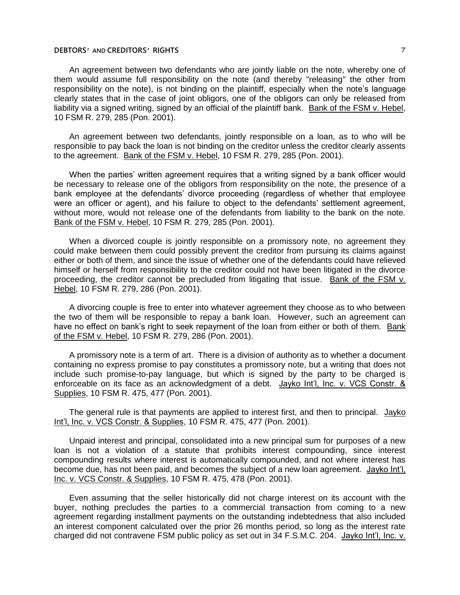An agreement between two defendants who are jointly liable on the note, whereby one of them would assume full responsibility on the note (and thereby "releasing" the other from responsibility on the note), is not binding on the plaintiff, especially when the note's language clearly states that in the case of joint obligors, one of the obligors can only be released from liability via a signed writing, signed by an official of the plaintiff bank. Bank of the FSM v. Hebel, 10 FSM R. 279, 285 (Pon. 2001).

An agreement between two defendants, jointly responsible on a loan, as to who will be responsible to pay back the loan is not binding on the creditor unless the creditor clearly assents to the agreement. Bank of the FSM v. Hebel, 10 FSM R. 279, 285 (Pon. 2001).

When the parties' written agreement requires that a writing signed by a bank officer would be necessary to release one of the obligors from responsibility on the note, the presence of a bank employee at the defendants' divorce proceeding (regardless of whether that employee were an officer or agent), and his failure to object to the defendants' settlement agreement, without more, would not release one of the defendants from liability to the bank on the note. Bank of the FSM v. Hebel, 10 FSM R. 279, 285 (Pon. 2001).

When a divorced couple is jointly responsible on a promissory note, no agreement they could make between them could possibly prevent the creditor from pursuing its claims against either or both of them, and since the issue of whether one of the defendants could have relieved himself or herself from responsibility to the creditor could not have been litigated in the divorce proceeding, the creditor cannot be precluded from litigating that issue. Bank of the FSM v. Hebel, 10 FSM R. 279, 286 (Pon. 2001).

A divorcing couple is free to enter into whatever agreement they choose as to who between the two of them will be responsible to repay a bank loan. However, such an agreement can have no effect on bank's right to seek repayment of the loan from either or both of them. Bank of the FSM v. Hebel, 10 FSM R. 279, 286 (Pon. 2001).

A promissory note is a term of art. There is a division of authority as to whether a document containing no express promise to pay constitutes a promissory note, but a writing that does not include such promise-to-pay language, but which is signed by the party to be charged is enforceable on its face as an acknowledgment of a debt. Jayko Int'l, Inc. v. VCS Constr. & Supplies, 10 FSM R. 475, 477 (Pon. 2001).

The general rule is that payments are applied to interest first, and then to principal. Jayko Int'l, Inc. v. VCS Constr. & Supplies, 10 FSM R. 475, 477 (Pon. 2001).

Unpaid interest and principal, consolidated into a new principal sum for purposes of a new loan is not a violation of a statute that prohibits interest compounding, since interest compounding results where interest is automatically compounded, and not where interest has become due, has not been paid, and becomes the subject of a new loan agreement. Jayko Int'l, Inc. v. VCS Constr. & Supplies, 10 FSM R. 475, 478 (Pon. 2001).

Even assuming that the seller historically did not charge interest on its account with the buyer, nothing precludes the parties to a commercial transaction from coming to a new agreement regarding installment payments on the outstanding indebtedness that also included an interest component calculated over the prior 26 months period, so long as the interest rate charged did not contravene FSM public policy as set out in 34 F.S.M.C. 204. Jayko Int'l, Inc. v.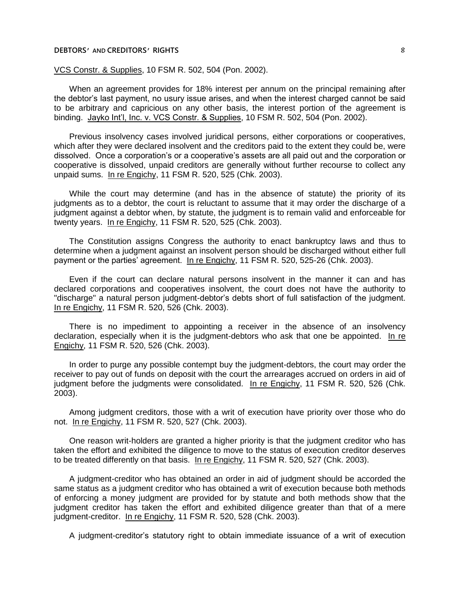#### VCS Constr. & Supplies, 10 FSM R. 502, 504 (Pon. 2002).

When an agreement provides for 18% interest per annum on the principal remaining after the debtor's last payment, no usury issue arises, and when the interest charged cannot be said to be arbitrary and capricious on any other basis, the interest portion of the agreement is binding. Jayko Int'l, Inc. v. VCS Constr. & Supplies, 10 FSM R. 502, 504 (Pon. 2002).

Previous insolvency cases involved juridical persons, either corporations or cooperatives, which after they were declared insolvent and the creditors paid to the extent they could be, were dissolved. Once a corporation's or a cooperative's assets are all paid out and the corporation or cooperative is dissolved, unpaid creditors are generally without further recourse to collect any unpaid sums. In re Engichy, 11 FSM R. 520, 525 (Chk. 2003).

While the court may determine (and has in the absence of statute) the priority of its judgments as to a debtor, the court is reluctant to assume that it may order the discharge of a judgment against a debtor when, by statute, the judgment is to remain valid and enforceable for twenty years. In re Engichy, 11 FSM R. 520, 525 (Chk. 2003).

The Constitution assigns Congress the authority to enact bankruptcy laws and thus to determine when a judgment against an insolvent person should be discharged without either full payment or the parties' agreement. In re Engichy, 11 FSM R. 520, 525-26 (Chk. 2003).

Even if the court can declare natural persons insolvent in the manner it can and has declared corporations and cooperatives insolvent, the court does not have the authority to "discharge" a natural person judgment-debtor's debts short of full satisfaction of the judgment. In re Engichy, 11 FSM R. 520, 526 (Chk. 2003).

There is no impediment to appointing a receiver in the absence of an insolvency declaration, especially when it is the judgment-debtors who ask that one be appointed. In re Engichy, 11 FSM R. 520, 526 (Chk. 2003).

In order to purge any possible contempt buy the judgment-debtors, the court may order the receiver to pay out of funds on deposit with the court the arrearages accrued on orders in aid of judgment before the judgments were consolidated. In re Engichy, 11 FSM R. 520, 526 (Chk. 2003).

Among judgment creditors, those with a writ of execution have priority over those who do not. In re Engichy, 11 FSM R. 520, 527 (Chk. 2003).

One reason writ-holders are granted a higher priority is that the judgment creditor who has taken the effort and exhibited the diligence to move to the status of execution creditor deserves to be treated differently on that basis. In re Engichy, 11 FSM R. 520, 527 (Chk. 2003).

A judgment-creditor who has obtained an order in aid of judgment should be accorded the same status as a judgment creditor who has obtained a writ of execution because both methods of enforcing a money judgment are provided for by statute and both methods show that the judgment creditor has taken the effort and exhibited diligence greater than that of a mere judgment-creditor. In re Engichy, 11 FSM R. 520, 528 (Chk. 2003).

A judgment-creditor's statutory right to obtain immediate issuance of a writ of execution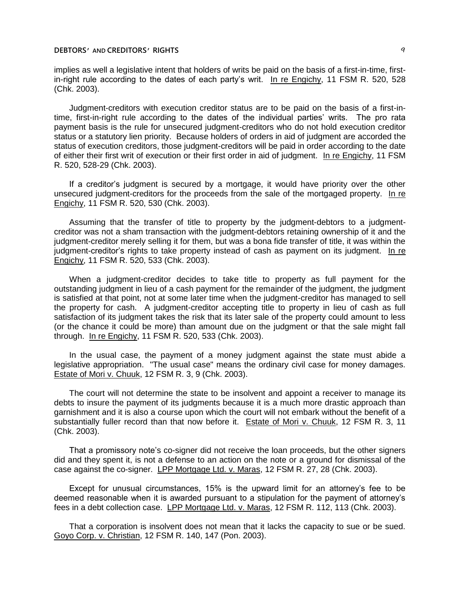implies as well a legislative intent that holders of writs be paid on the basis of a first-in-time, firstin-right rule according to the dates of each party's writ. In re Engichy, 11 FSM R. 520, 528 (Chk. 2003).

Judgment-creditors with execution creditor status are to be paid on the basis of a first-intime, first-in-right rule according to the dates of the individual parties' writs. The pro rata payment basis is the rule for unsecured judgment-creditors who do not hold execution creditor status or a statutory lien priority. Because holders of orders in aid of judgment are accorded the status of execution creditors, those judgment-creditors will be paid in order according to the date of either their first writ of execution or their first order in aid of judgment. In re Engichy, 11 FSM R. 520, 528-29 (Chk. 2003).

If a creditor's judgment is secured by a mortgage, it would have priority over the other unsecured judgment-creditors for the proceeds from the sale of the mortgaged property. In re Engichy, 11 FSM R. 520, 530 (Chk. 2003).

Assuming that the transfer of title to property by the judgment-debtors to a judgmentcreditor was not a sham transaction with the judgment-debtors retaining ownership of it and the judgment-creditor merely selling it for them, but was a bona fide transfer of title, it was within the judgment-creditor's rights to take property instead of cash as payment on its judgment. In re Engichy, 11 FSM R. 520, 533 (Chk. 2003).

When a judgment-creditor decides to take title to property as full payment for the outstanding judgment in lieu of a cash payment for the remainder of the judgment, the judgment is satisfied at that point, not at some later time when the judgment-creditor has managed to sell the property for cash. A judgment-creditor accepting title to property in lieu of cash as full satisfaction of its judgment takes the risk that its later sale of the property could amount to less (or the chance it could be more) than amount due on the judgment or that the sale might fall through. In re Engichy, 11 FSM R. 520, 533 (Chk. 2003).

In the usual case, the payment of a money judgment against the state must abide a legislative appropriation. "The usual case" means the ordinary civil case for money damages. Estate of Mori v. Chuuk, 12 FSM R. 3, 9 (Chk. 2003).

The court will not determine the state to be insolvent and appoint a receiver to manage its debts to insure the payment of its judgments because it is a much more drastic approach than garnishment and it is also a course upon which the court will not embark without the benefit of a substantially fuller record than that now before it. Estate of Mori v. Chuuk, 12 FSM R. 3, 11 (Chk. 2003).

That a promissory note's co-signer did not receive the loan proceeds, but the other signers did and they spent it, is not a defense to an action on the note or a ground for dismissal of the case against the co-signer. LPP Mortgage Ltd. v. Maras, 12 FSM R. 27, 28 (Chk. 2003).

Except for unusual circumstances, 15% is the upward limit for an attorney's fee to be deemed reasonable when it is awarded pursuant to a stipulation for the payment of attorney's fees in a debt collection case. LPP Mortgage Ltd. v. Maras, 12 FSM R. 112, 113 (Chk. 2003).

That a corporation is insolvent does not mean that it lacks the capacity to sue or be sued. Goyo Corp. v. Christian, 12 FSM R. 140, 147 (Pon. 2003).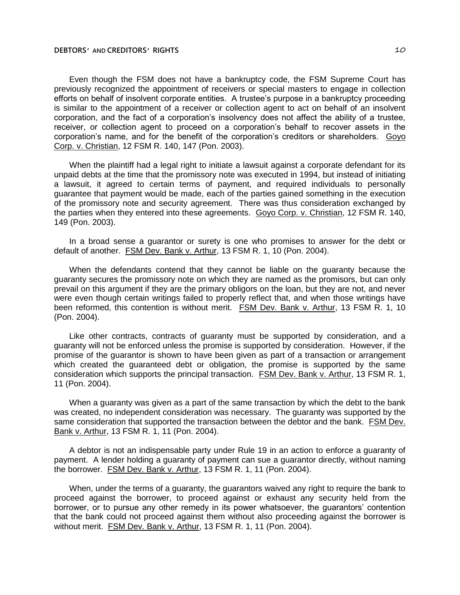Even though the FSM does not have a bankruptcy code, the FSM Supreme Court has previously recognized the appointment of receivers or special masters to engage in collection efforts on behalf of insolvent corporate entities. A trustee's purpose in a bankruptcy proceeding is similar to the appointment of a receiver or collection agent to act on behalf of an insolvent corporation, and the fact of a corporation's insolvency does not affect the ability of a trustee, receiver, or collection agent to proceed on a corporation's behalf to recover assets in the corporation's name, and for the benefit of the corporation's creditors or shareholders. Goyo Corp. v. Christian, 12 FSM R. 140, 147 (Pon. 2003).

When the plaintiff had a legal right to initiate a lawsuit against a corporate defendant for its unpaid debts at the time that the promissory note was executed in 1994, but instead of initiating a lawsuit, it agreed to certain terms of payment, and required individuals to personally guarantee that payment would be made, each of the parties gained something in the execution of the promissory note and security agreement. There was thus consideration exchanged by the parties when they entered into these agreements. Goyo Corp. v. Christian, 12 FSM R. 140, 149 (Pon. 2003).

In a broad sense a guarantor or surety is one who promises to answer for the debt or default of another. FSM Dev. Bank v. Arthur, 13 FSM R. 1, 10 (Pon. 2004).

When the defendants contend that they cannot be liable on the guaranty because the guaranty secures the promissory note on which they are named as the promisors, but can only prevail on this argument if they are the primary obligors on the loan, but they are not, and never were even though certain writings failed to properly reflect that, and when those writings have been reformed, this contention is without merit. FSM Dev. Bank v. Arthur, 13 FSM R. 1, 10 (Pon. 2004).

Like other contracts, contracts of guaranty must be supported by consideration, and a guaranty will not be enforced unless the promise is supported by consideration. However, if the promise of the guarantor is shown to have been given as part of a transaction or arrangement which created the guaranteed debt or obligation, the promise is supported by the same consideration which supports the principal transaction. FSM Dev. Bank v. Arthur, 13 FSM R. 1, 11 (Pon. 2004).

When a guaranty was given as a part of the same transaction by which the debt to the bank was created, no independent consideration was necessary. The guaranty was supported by the same consideration that supported the transaction between the debtor and the bank. FSM Dev. Bank v. Arthur, 13 FSM R. 1, 11 (Pon. 2004).

A debtor is not an indispensable party under Rule 19 in an action to enforce a guaranty of payment. A lender holding a guaranty of payment can sue a guarantor directly, without naming the borrower. FSM Dev. Bank v. Arthur, 13 FSM R. 1, 11 (Pon. 2004).

When, under the terms of a guaranty, the guarantors waived any right to require the bank to proceed against the borrower, to proceed against or exhaust any security held from the borrower, or to pursue any other remedy in its power whatsoever, the guarantors' contention that the bank could not proceed against them without also proceeding against the borrower is without merit. FSM Dev. Bank v. Arthur, 13 FSM R. 1, 11 (Pon. 2004).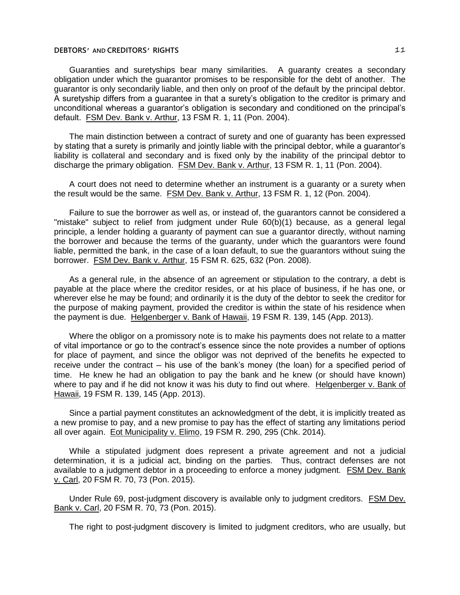Guaranties and suretyships bear many similarities. A guaranty creates a secondary obligation under which the guarantor promises to be responsible for the debt of another. The guarantor is only secondarily liable, and then only on proof of the default by the principal debtor. A suretyship differs from a guarantee in that a surety's obligation to the creditor is primary and unconditional whereas a guarantor's obligation is secondary and conditioned on the principal's default. FSM Dev. Bank v. Arthur, 13 FSM R. 1, 11 (Pon. 2004).

The main distinction between a contract of surety and one of guaranty has been expressed by stating that a surety is primarily and jointly liable with the principal debtor, while a guarantor's liability is collateral and secondary and is fixed only by the inability of the principal debtor to discharge the primary obligation. FSM Dev. Bank v. Arthur, 13 FSM R. 1, 11 (Pon. 2004).

A court does not need to determine whether an instrument is a guaranty or a surety when the result would be the same. FSM Dev. Bank v. Arthur, 13 FSM R. 1, 12 (Pon. 2004).

Failure to sue the borrower as well as, or instead of, the guarantors cannot be considered a "mistake" subject to relief from judgment under Rule 60(b)(1) because, as a general legal principle, a lender holding a guaranty of payment can sue a guarantor directly, without naming the borrower and because the terms of the guaranty, under which the guarantors were found liable, permitted the bank, in the case of a loan default, to sue the guarantors without suing the borrower. FSM Dev. Bank v. Arthur, 15 FSM R. 625, 632 (Pon. 2008).

As a general rule, in the absence of an agreement or stipulation to the contrary, a debt is payable at the place where the creditor resides, or at his place of business, if he has one, or wherever else he may be found; and ordinarily it is the duty of the debtor to seek the creditor for the purpose of making payment, provided the creditor is within the state of his residence when the payment is due. Helgenberger v. Bank of Hawaii, 19 FSM R. 139, 145 (App. 2013).

Where the obligor on a promissory note is to make his payments does not relate to a matter of vital importance or go to the contract's essence since the note provides a number of options for place of payment, and since the obligor was not deprived of the benefits he expected to receive under the contract — his use of the bank's money (the loan) for a specified period of time. He knew he had an obligation to pay the bank and he knew (or should have known) where to pay and if he did not know it was his duty to find out where. Helgenberger v. Bank of Hawaii, 19 FSM R. 139, 145 (App. 2013).

Since a partial payment constitutes an acknowledgment of the debt, it is implicitly treated as a new promise to pay, and a new promise to pay has the effect of starting any limitations period all over again. Eot Municipality v. Elimo, 19 FSM R. 290, 295 (Chk. 2014).

While a stipulated judgment does represent a private agreement and not a judicial determination, it is a judicial act, binding on the parties. Thus, contract defenses are not available to a judgment debtor in a proceeding to enforce a money judgment. FSM Dev. Bank v. Carl, 20 FSM R. 70, 73 (Pon. 2015).

Under Rule 69, post-judgment discovery is available only to judgment creditors. FSM Dev. Bank v. Carl, 20 FSM R. 70, 73 (Pon. 2015).

The right to post-judgment discovery is limited to judgment creditors, who are usually, but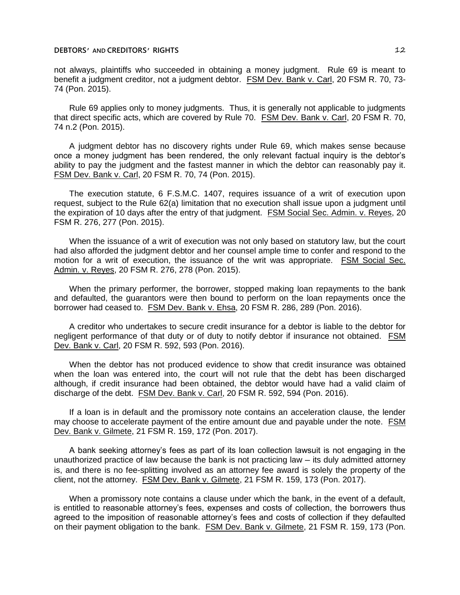not always, plaintiffs who succeeded in obtaining a money judgment. Rule 69 is meant to benefit a judgment creditor, not a judgment debtor. FSM Dev. Bank v. Carl, 20 FSM R. 70, 73- 74 (Pon. 2015).

Rule 69 applies only to money judgments. Thus, it is generally not applicable to judgments that direct specific acts, which are covered by Rule 70. FSM Dev. Bank v. Carl, 20 FSM R. 70, 74 n.2 (Pon. 2015).

A judgment debtor has no discovery rights under Rule 69, which makes sense because once a money judgment has been rendered, the only relevant factual inquiry is the debtor's ability to pay the judgment and the fastest manner in which the debtor can reasonably pay it. FSM Dev. Bank v. Carl, 20 FSM R. 70, 74 (Pon. 2015).

The execution statute, 6 F.S.M.C. 1407, requires issuance of a writ of execution upon request, subject to the Rule 62(a) limitation that no execution shall issue upon a judgment until the expiration of 10 days after the entry of that judgment. FSM Social Sec. Admin. v. Reyes, 20 FSM R. 276, 277 (Pon. 2015).

When the issuance of a writ of execution was not only based on statutory law, but the court had also afforded the judgment debtor and her counsel ample time to confer and respond to the motion for a writ of execution, the issuance of the writ was appropriate. FSM Social Sec. Admin. v. Reyes, 20 FSM R. 276, 278 (Pon. 2015).

When the primary performer, the borrower, stopped making loan repayments to the bank and defaulted, the guarantors were then bound to perform on the loan repayments once the borrower had ceased to. FSM Dev. Bank v. Ehsa, 20 FSM R. 286, 289 (Pon. 2016).

A creditor who undertakes to secure credit insurance for a debtor is liable to the debtor for negligent performance of that duty or of duty to notify debtor if insurance not obtained. FSM Dev. Bank v. Carl, 20 FSM R. 592, 593 (Pon. 2016).

When the debtor has not produced evidence to show that credit insurance was obtained when the loan was entered into, the court will not rule that the debt has been discharged although, if credit insurance had been obtained, the debtor would have had a valid claim of discharge of the debt. FSM Dev. Bank v. Carl, 20 FSM R. 592, 594 (Pon. 2016).

If a loan is in default and the promissory note contains an acceleration clause, the lender may choose to accelerate payment of the entire amount due and payable under the note. FSM Dev. Bank v. Gilmete, 21 FSM R. 159, 172 (Pon. 2017).

A bank seeking attorney's fees as part of its loan collection lawsuit is not engaging in the unauthorized practice of law because the bank is not practicing law ─ its duly admitted attorney is, and there is no fee-splitting involved as an attorney fee award is solely the property of the client, not the attorney. FSM Dev. Bank v. Gilmete, 21 FSM R. 159, 173 (Pon. 2017).

When a promissory note contains a clause under which the bank, in the event of a default, is entitled to reasonable attorney's fees, expenses and costs of collection, the borrowers thus agreed to the imposition of reasonable attorney's fees and costs of collection if they defaulted on their payment obligation to the bank. FSM Dev. Bank v. Gilmete, 21 FSM R. 159, 173 (Pon.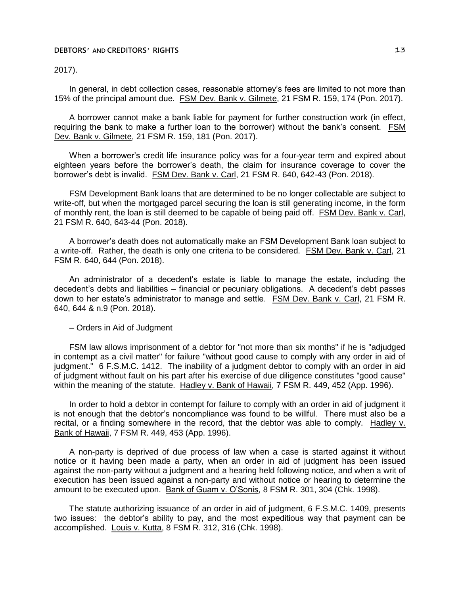2017).

In general, in debt collection cases, reasonable attorney's fees are limited to not more than 15% of the principal amount due. FSM Dev. Bank v. Gilmete, 21 FSM R. 159, 174 (Pon. 2017).

A borrower cannot make a bank liable for payment for further construction work (in effect, requiring the bank to make a further loan to the borrower) without the bank's consent. FSM Dev. Bank v. Gilmete, 21 FSM R. 159, 181 (Pon. 2017).

When a borrower's credit life insurance policy was for a four-year term and expired about eighteen years before the borrower's death, the claim for insurance coverage to cover the borrower's debt is invalid. FSM Dev. Bank v. Carl, 21 FSM R. 640, 642-43 (Pon. 2018).

FSM Development Bank loans that are determined to be no longer collectable are subject to write-off, but when the mortgaged parcel securing the loan is still generating income, in the form of monthly rent, the loan is still deemed to be capable of being paid off. FSM Dev. Bank v. Carl, 21 FSM R. 640, 643-44 (Pon. 2018).

A borrower's death does not automatically make an FSM Development Bank loan subject to a write-off. Rather, the death is only one criteria to be considered. FSM Dev. Bank v. Carl, 21 FSM R. 640, 644 (Pon. 2018).

An administrator of a decedent's estate is liable to manage the estate, including the decedent's debts and liabilities — financial or pecuniary obligations. A decedent's debt passes down to her estate's administrator to manage and settle. FSM Dev. Bank v. Carl, 21 FSM R. 640, 644 & n.9 (Pon. 2018).

─ Orders in Aid of Judgment

FSM law allows imprisonment of a debtor for "not more than six months" if he is "adjudged in contempt as a civil matter" for failure "without good cause to comply with any order in aid of judgment." 6 F.S.M.C. 1412. The inability of a judgment debtor to comply with an order in aid of judgment without fault on his part after his exercise of due diligence constitutes "good cause" within the meaning of the statute. Hadley v. Bank of Hawaii, 7 FSM R. 449, 452 (App. 1996).

In order to hold a debtor in contempt for failure to comply with an order in aid of judgment it is not enough that the debtor's noncompliance was found to be willful. There must also be a recital, or a finding somewhere in the record, that the debtor was able to comply. Hadley v. Bank of Hawaii, 7 FSM R. 449, 453 (App. 1996).

A non-party is deprived of due process of law when a case is started against it without notice or it having been made a party, when an order in aid of judgment has been issued against the non-party without a judgment and a hearing held following notice, and when a writ of execution has been issued against a non-party and without notice or hearing to determine the amount to be executed upon. Bank of Guam v. O'Sonis, 8 FSM R. 301, 304 (Chk. 1998).

The statute authorizing issuance of an order in aid of judgment, 6 F.S.M.C. 1409, presents two issues: the debtor's ability to pay, and the most expeditious way that payment can be accomplished. Louis v. Kutta, 8 FSM R. 312, 316 (Chk. 1998).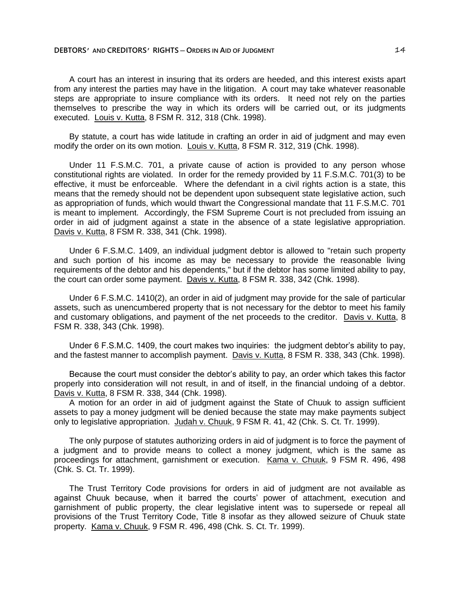A court has an interest in insuring that its orders are heeded, and this interest exists apart from any interest the parties may have in the litigation. A court may take whatever reasonable steps are appropriate to insure compliance with its orders. It need not rely on the parties themselves to prescribe the way in which its orders will be carried out, or its judgments executed. Louis v. Kutta, 8 FSM R. 312, 318 (Chk. 1998).

By statute, a court has wide latitude in crafting an order in aid of judgment and may even modify the order on its own motion. Louis v. Kutta, 8 FSM R. 312, 319 (Chk. 1998).

Under 11 F.S.M.C. 701, a private cause of action is provided to any person whose constitutional rights are violated. In order for the remedy provided by 11 F.S.M.C. 701(3) to be effective, it must be enforceable. Where the defendant in a civil rights action is a state, this means that the remedy should not be dependent upon subsequent state legislative action, such as appropriation of funds, which would thwart the Congressional mandate that 11 F.S.M.C. 701 is meant to implement. Accordingly, the FSM Supreme Court is not precluded from issuing an order in aid of judgment against a state in the absence of a state legislative appropriation. Davis v. Kutta, 8 FSM R. 338, 341 (Chk. 1998).

Under 6 F.S.M.C. 1409, an individual judgment debtor is allowed to "retain such property and such portion of his income as may be necessary to provide the reasonable living requirements of the debtor and his dependents," but if the debtor has some limited ability to pay, the court can order some payment. Davis v. Kutta, 8 FSM R. 338, 342 (Chk. 1998).

Under 6 F.S.M.C. 1410(2), an order in aid of judgment may provide for the sale of particular assets, such as unencumbered property that is not necessary for the debtor to meet his family and customary obligations, and payment of the net proceeds to the creditor. Davis v. Kutta, 8 FSM R. 338, 343 (Chk. 1998).

Under 6 F.S.M.C. 1409, the court makes two inquiries: the judgment debtor's ability to pay, and the fastest manner to accomplish payment. Davis v. Kutta, 8 FSM R. 338, 343 (Chk. 1998).

Because the court must consider the debtor's ability to pay, an order which takes this factor properly into consideration will not result, in and of itself, in the financial undoing of a debtor. Davis v. Kutta, 8 FSM R. 338, 344 (Chk. 1998).

A motion for an order in aid of judgment against the State of Chuuk to assign sufficient assets to pay a money judgment will be denied because the state may make payments subject only to legislative appropriation. Judah v. Chuuk, 9 FSM R. 41, 42 (Chk. S. Ct. Tr. 1999).

The only purpose of statutes authorizing orders in aid of judgment is to force the payment of a judgment and to provide means to collect a money judgment, which is the same as proceedings for attachment, garnishment or execution. Kama v. Chuuk, 9 FSM R. 496, 498 (Chk. S. Ct. Tr. 1999).

The Trust Territory Code provisions for orders in aid of judgment are not available as against Chuuk because, when it barred the courts' power of attachment, execution and garnishment of public property, the clear legislative intent was to supersede or repeal all provisions of the Trust Territory Code, Title 8 insofar as they allowed seizure of Chuuk state property. Kama v. Chuuk, 9 FSM R. 496, 498 (Chk. S. Ct. Tr. 1999).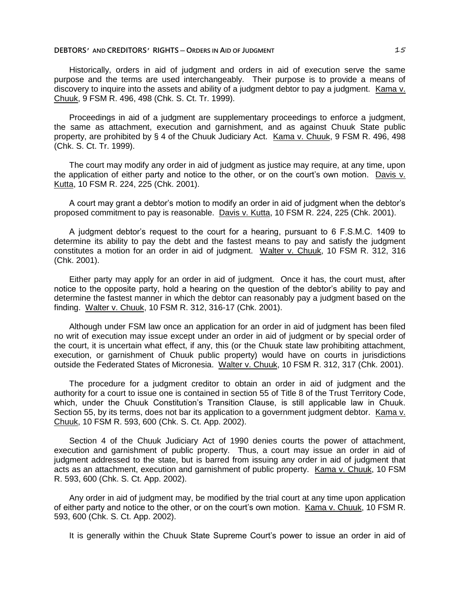Historically, orders in aid of judgment and orders in aid of execution serve the same purpose and the terms are used interchangeably. Their purpose is to provide a means of discovery to inquire into the assets and ability of a judgment debtor to pay a judgment. Kama v. Chuuk, 9 FSM R. 496, 498 (Chk. S. Ct. Tr. 1999).

Proceedings in aid of a judgment are supplementary proceedings to enforce a judgment, the same as attachment, execution and garnishment, and as against Chuuk State public property, are prohibited by § 4 of the Chuuk Judiciary Act. Kama v. Chuuk, 9 FSM R. 496, 498 (Chk. S. Ct. Tr. 1999).

The court may modify any order in aid of judgment as justice may require, at any time, upon the application of either party and notice to the other, or on the court's own motion. Davis v. Kutta, 10 FSM R. 224, 225 (Chk. 2001).

A court may grant a debtor's motion to modify an order in aid of judgment when the debtor's proposed commitment to pay is reasonable. Davis v. Kutta, 10 FSM R. 224, 225 (Chk. 2001).

A judgment debtor's request to the court for a hearing, pursuant to 6 F.S.M.C. 1409 to determine its ability to pay the debt and the fastest means to pay and satisfy the judgment constitutes a motion for an order in aid of judgment. Walter v. Chuuk, 10 FSM R. 312, 316 (Chk. 2001).

Either party may apply for an order in aid of judgment. Once it has, the court must, after notice to the opposite party, hold a hearing on the question of the debtor's ability to pay and determine the fastest manner in which the debtor can reasonably pay a judgment based on the finding. Walter v. Chuuk, 10 FSM R. 312, 316-17 (Chk. 2001).

Although under FSM law once an application for an order in aid of judgment has been filed no writ of execution may issue except under an order in aid of judgment or by special order of the court, it is uncertain what effect, if any, this (or the Chuuk state law prohibiting attachment, execution, or garnishment of Chuuk public property) would have on courts in jurisdictions outside the Federated States of Micronesia. Walter v. Chuuk, 10 FSM R. 312, 317 (Chk. 2001).

The procedure for a judgment creditor to obtain an order in aid of judgment and the authority for a court to issue one is contained in section 55 of Title 8 of the Trust Territory Code, which, under the Chuuk Constitution's Transition Clause, is still applicable law in Chuuk. Section 55, by its terms, does not bar its application to a government judgment debtor. Kama v. Chuuk, 10 FSM R. 593, 600 (Chk. S. Ct. App. 2002).

Section 4 of the Chuuk Judiciary Act of 1990 denies courts the power of attachment, execution and garnishment of public property. Thus, a court may issue an order in aid of judgment addressed to the state, but is barred from issuing any order in aid of judgment that acts as an attachment, execution and garnishment of public property. Kama v. Chuuk, 10 FSM R. 593, 600 (Chk. S. Ct. App. 2002).

Any order in aid of judgment may, be modified by the trial court at any time upon application of either party and notice to the other, or on the court's own motion. Kama v. Chuuk, 10 FSM R. 593, 600 (Chk. S. Ct. App. 2002).

It is generally within the Chuuk State Supreme Court's power to issue an order in aid of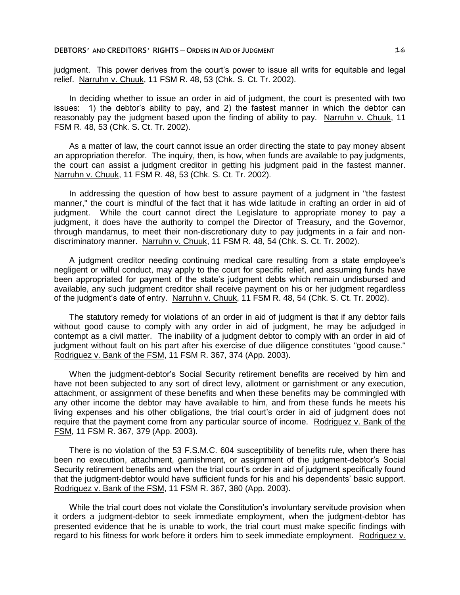judgment. This power derives from the court's power to issue all writs for equitable and legal relief. Narruhn v. Chuuk, 11 FSM R. 48, 53 (Chk. S. Ct. Tr. 2002).

In deciding whether to issue an order in aid of judgment, the court is presented with two issues: 1) the debtor's ability to pay, and 2) the fastest manner in which the debtor can reasonably pay the judgment based upon the finding of ability to pay. Narruhn v. Chuuk, 11 FSM R. 48, 53 (Chk. S. Ct. Tr. 2002).

As a matter of law, the court cannot issue an order directing the state to pay money absent an appropriation therefor. The inquiry, then, is how, when funds are available to pay judgments, the court can assist a judgment creditor in getting his judgment paid in the fastest manner. Narruhn v. Chuuk, 11 FSM R. 48, 53 (Chk. S. Ct. Tr. 2002).

In addressing the question of how best to assure payment of a judgment in "the fastest manner," the court is mindful of the fact that it has wide latitude in crafting an order in aid of judgment. While the court cannot direct the Legislature to appropriate money to pay a judgment, it does have the authority to compel the Director of Treasury, and the Governor, through mandamus, to meet their non-discretionary duty to pay judgments in a fair and nondiscriminatory manner. Narruhn v. Chuuk, 11 FSM R. 48, 54 (Chk. S. Ct. Tr. 2002).

A judgment creditor needing continuing medical care resulting from a state employee's negligent or wilful conduct, may apply to the court for specific relief, and assuming funds have been appropriated for payment of the state's judgment debts which remain undisbursed and available, any such judgment creditor shall receive payment on his or her judgment regardless of the judgment's date of entry. Narruhn v. Chuuk, 11 FSM R. 48, 54 (Chk. S. Ct. Tr. 2002).

The statutory remedy for violations of an order in aid of judgment is that if any debtor fails without good cause to comply with any order in aid of judgment, he may be adjudged in contempt as a civil matter. The inability of a judgment debtor to comply with an order in aid of judgment without fault on his part after his exercise of due diligence constitutes "good cause." Rodriguez v. Bank of the FSM, 11 FSM R. 367, 374 (App. 2003).

When the judgment-debtor's Social Security retirement benefits are received by him and have not been subjected to any sort of direct levy, allotment or garnishment or any execution, attachment, or assignment of these benefits and when these benefits may be commingled with any other income the debtor may have available to him, and from these funds he meets his living expenses and his other obligations, the trial court's order in aid of judgment does not require that the payment come from any particular source of income. Rodriguez v. Bank of the FSM, 11 FSM R. 367, 379 (App. 2003).

There is no violation of the 53 F.S.M.C. 604 susceptibility of benefits rule, when there has been no execution, attachment, garnishment, or assignment of the judgment-debtor's Social Security retirement benefits and when the trial court's order in aid of judgment specifically found that the judgment-debtor would have sufficient funds for his and his dependents' basic support. Rodriguez v. Bank of the FSM, 11 FSM R. 367, 380 (App. 2003).

While the trial court does not violate the Constitution's involuntary servitude provision when it orders a judgment-debtor to seek immediate employment, when the judgment-debtor has presented evidence that he is unable to work, the trial court must make specific findings with regard to his fitness for work before it orders him to seek immediate employment. Rodriguez v.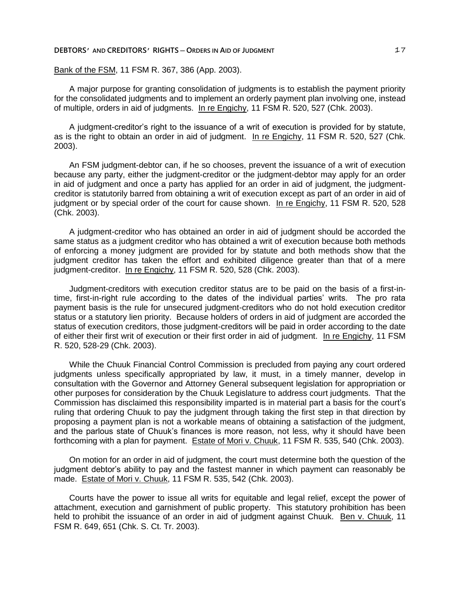# Bank of the FSM, 11 FSM R. 367, 386 (App. 2003).

A major purpose for granting consolidation of judgments is to establish the payment priority for the consolidated judgments and to implement an orderly payment plan involving one, instead of multiple, orders in aid of judgments. In re Engichy, 11 FSM R. 520, 527 (Chk. 2003).

A judgment-creditor's right to the issuance of a writ of execution is provided for by statute, as is the right to obtain an order in aid of judgment. In re Engichy, 11 FSM R. 520, 527 (Chk. 2003).

An FSM judgment-debtor can, if he so chooses, prevent the issuance of a writ of execution because any party, either the judgment-creditor or the judgment-debtor may apply for an order in aid of judgment and once a party has applied for an order in aid of judgment, the judgmentcreditor is statutorily barred from obtaining a writ of execution except as part of an order in aid of judgment or by special order of the court for cause shown. In re Engichy, 11 FSM R. 520, 528 (Chk. 2003).

A judgment-creditor who has obtained an order in aid of judgment should be accorded the same status as a judgment creditor who has obtained a writ of execution because both methods of enforcing a money judgment are provided for by statute and both methods show that the judgment creditor has taken the effort and exhibited diligence greater than that of a mere judgment-creditor. In re Engichy, 11 FSM R. 520, 528 (Chk. 2003).

Judgment-creditors with execution creditor status are to be paid on the basis of a first-intime, first-in-right rule according to the dates of the individual parties' writs. The pro rata payment basis is the rule for unsecured judgment-creditors who do not hold execution creditor status or a statutory lien priority. Because holders of orders in aid of judgment are accorded the status of execution creditors, those judgment-creditors will be paid in order according to the date of either their first writ of execution or their first order in aid of judgment. In re Engichy, 11 FSM R. 520, 528-29 (Chk. 2003).

While the Chuuk Financial Control Commission is precluded from paying any court ordered judgments unless specifically appropriated by law, it must, in a timely manner, develop in consultation with the Governor and Attorney General subsequent legislation for appropriation or other purposes for consideration by the Chuuk Legislature to address court judgments. That the Commission has disclaimed this responsibility imparted is in material part a basis for the court's ruling that ordering Chuuk to pay the judgment through taking the first step in that direction by proposing a payment plan is not a workable means of obtaining a satisfaction of the judgment, and the parlous state of Chuuk's finances is more reason, not less, why it should have been forthcoming with a plan for payment. Estate of Mori v. Chuuk, 11 FSM R. 535, 540 (Chk. 2003).

On motion for an order in aid of judgment, the court must determine both the question of the judgment debtor's ability to pay and the fastest manner in which payment can reasonably be made. Estate of Mori v. Chuuk, 11 FSM R. 535, 542 (Chk. 2003).

Courts have the power to issue all writs for equitable and legal relief, except the power of attachment, execution and garnishment of public property. This statutory prohibition has been held to prohibit the issuance of an order in aid of judgment against Chuuk. Ben v. Chuuk, 11 FSM R. 649, 651 (Chk. S. Ct. Tr. 2003).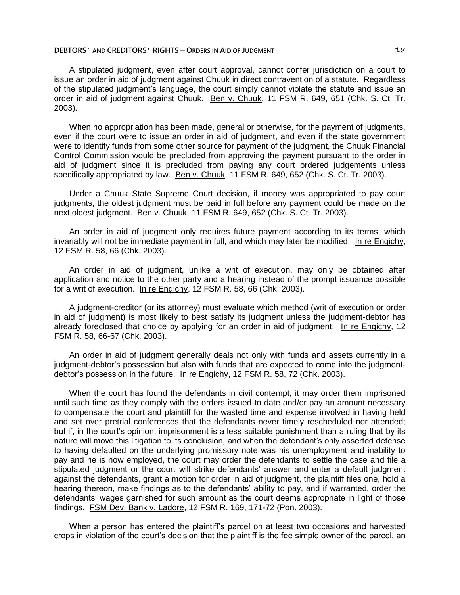A stipulated judgment, even after court approval, cannot confer jurisdiction on a court to issue an order in aid of judgment against Chuuk in direct contravention of a statute. Regardless of the stipulated judgment's language, the court simply cannot violate the statute and issue an order in aid of judgment against Chuuk. Ben v. Chuuk, 11 FSM R. 649, 651 (Chk. S. Ct. Tr. 2003).

When no appropriation has been made, general or otherwise, for the payment of judgments, even if the court were to issue an order in aid of judgment, and even if the state government were to identify funds from some other source for payment of the judgment, the Chuuk Financial Control Commission would be precluded from approving the payment pursuant to the order in aid of judgment since it is precluded from paying any court ordered judgements unless specifically appropriated by law. Ben v. Chuuk, 11 FSM R. 649, 652 (Chk. S. Ct. Tr. 2003).

Under a Chuuk State Supreme Court decision, if money was appropriated to pay court judgments, the oldest judgment must be paid in full before any payment could be made on the next oldest judgment. Ben v. Chuuk, 11 FSM R. 649, 652 (Chk. S. Ct. Tr. 2003).

An order in aid of judgment only requires future payment according to its terms, which invariably will not be immediate payment in full, and which may later be modified. In re Engichy, 12 FSM R. 58, 66 (Chk. 2003).

An order in aid of judgment, unlike a writ of execution, may only be obtained after application and notice to the other party and a hearing instead of the prompt issuance possible for a writ of execution. In re Engichy, 12 FSM R. 58, 66 (Chk. 2003).

A judgment-creditor (or its attorney) must evaluate which method (writ of execution or order in aid of judgment) is most likely to best satisfy its judgment unless the judgment-debtor has already foreclosed that choice by applying for an order in aid of judgment. In re Engichy, 12 FSM R. 58, 66-67 (Chk. 2003).

An order in aid of judgment generally deals not only with funds and assets currently in a judgment-debtor's possession but also with funds that are expected to come into the judgmentdebtor's possession in the future. In re Engichy, 12 FSM R. 58, 72 (Chk. 2003).

When the court has found the defendants in civil contempt, it may order them imprisoned until such time as they comply with the orders issued to date and/or pay an amount necessary to compensate the court and plaintiff for the wasted time and expense involved in having held and set over pretrial conferences that the defendants never timely rescheduled nor attended; but if, in the court's opinion, imprisonment is a less suitable punishment than a ruling that by its nature will move this litigation to its conclusion, and when the defendant's only asserted defense to having defaulted on the underlying promissory note was his unemployment and inability to pay and he is now employed, the court may order the defendants to settle the case and file a stipulated judgment or the court will strike defendants' answer and enter a default judgment against the defendants, grant a motion for order in aid of judgment, the plaintiff files one, hold a hearing thereon, make findings as to the defendants' ability to pay, and if warranted, order the defendants' wages garnished for such amount as the court deems appropriate in light of those findings. FSM Dev. Bank v. Ladore, 12 FSM R. 169, 171-72 (Pon. 2003).

When a person has entered the plaintiff's parcel on at least two occasions and harvested crops in violation of the court's decision that the plaintiff is the fee simple owner of the parcel, an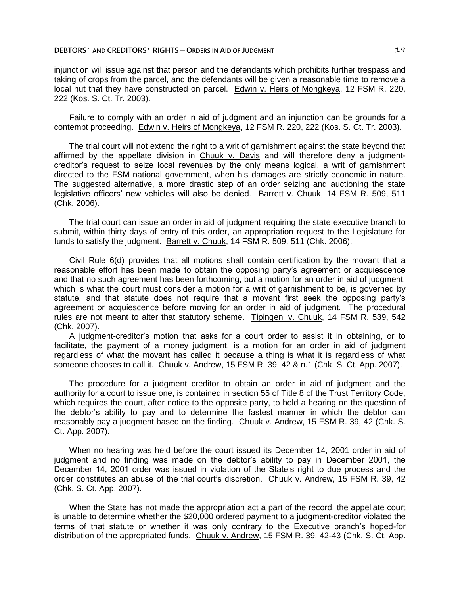injunction will issue against that person and the defendants which prohibits further trespass and taking of crops from the parcel, and the defendants will be given a reasonable time to remove a local hut that they have constructed on parcel. Edwin v. Heirs of Mongkeya, 12 FSM R. 220, 222 (Kos. S. Ct. Tr. 2003).

Failure to comply with an order in aid of judgment and an injunction can be grounds for a contempt proceeding. Edwin v. Heirs of Mongkeya, 12 FSM R. 220, 222 (Kos. S. Ct. Tr. 2003).

The trial court will not extend the right to a writ of garnishment against the state beyond that affirmed by the appellate division in Chuuk v. Davis and will therefore deny a judgmentcreditor's request to seize local revenues by the only means logical, a writ of garnishment directed to the FSM national government, when his damages are strictly economic in nature. The suggested alternative, a more drastic step of an order seizing and auctioning the state legislative officers' new vehicles will also be denied. Barrett v. Chuuk, 14 FSM R. 509, 511 (Chk. 2006).

The trial court can issue an order in aid of judgment requiring the state executive branch to submit, within thirty days of entry of this order, an appropriation request to the Legislature for funds to satisfy the judgment. Barrett v. Chuuk, 14 FSM R. 509, 511 (Chk. 2006).

Civil Rule 6(d) provides that all motions shall contain certification by the movant that a reasonable effort has been made to obtain the opposing party's agreement or acquiescence and that no such agreement has been forthcoming, but a motion for an order in aid of judgment, which is what the court must consider a motion for a writ of garnishment to be, is governed by statute, and that statute does not require that a movant first seek the opposing party's agreement or acquiescence before moving for an order in aid of judgment. The procedural rules are not meant to alter that statutory scheme. Tipingeni v. Chuuk, 14 FSM R. 539, 542 (Chk. 2007).

A judgment-creditor's motion that asks for a court order to assist it in obtaining, or to facilitate, the payment of a money judgment, is a motion for an order in aid of judgment regardless of what the movant has called it because a thing is what it is regardless of what someone chooses to call it. Chuuk v. Andrew, 15 FSM R. 39, 42 & n.1 (Chk. S. Ct. App. 2007).

The procedure for a judgment creditor to obtain an order in aid of judgment and the authority for a court to issue one, is contained in section 55 of Title 8 of the Trust Territory Code, which requires the court, after notice to the opposite party, to hold a hearing on the question of the debtor's ability to pay and to determine the fastest manner in which the debtor can reasonably pay a judgment based on the finding. Chuuk v. Andrew, 15 FSM R. 39, 42 (Chk. S. Ct. App. 2007).

When no hearing was held before the court issued its December 14, 2001 order in aid of judgment and no finding was made on the debtor's ability to pay in December 2001, the December 14, 2001 order was issued in violation of the State's right to due process and the order constitutes an abuse of the trial court's discretion. Chuuk v. Andrew, 15 FSM R. 39, 42 (Chk. S. Ct. App. 2007).

When the State has not made the appropriation act a part of the record, the appellate court is unable to determine whether the \$20,000 ordered payment to a judgment-creditor violated the terms of that statute or whether it was only contrary to the Executive branch's hoped-for distribution of the appropriated funds. Chuuk v. Andrew, 15 FSM R. 39, 42-43 (Chk. S. Ct. App.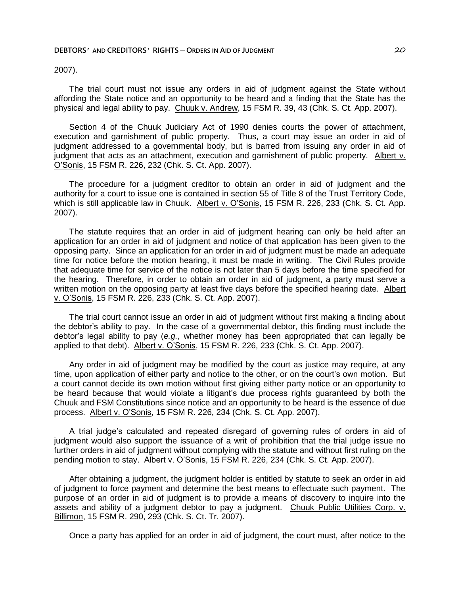2007).

The trial court must not issue any orders in aid of judgment against the State without affording the State notice and an opportunity to be heard and a finding that the State has the physical and legal ability to pay. Chuuk v. Andrew, 15 FSM R. 39, 43 (Chk. S. Ct. App. 2007).

Section 4 of the Chuuk Judiciary Act of 1990 denies courts the power of attachment, execution and garnishment of public property. Thus, a court may issue an order in aid of judgment addressed to a governmental body, but is barred from issuing any order in aid of judgment that acts as an attachment, execution and garnishment of public property. Albert v. O'Sonis, 15 FSM R. 226, 232 (Chk. S. Ct. App. 2007).

The procedure for a judgment creditor to obtain an order in aid of judgment and the authority for a court to issue one is contained in section 55 of Title 8 of the Trust Territory Code, which is still applicable law in Chuuk. Albert v. O'Sonis, 15 FSM R. 226, 233 (Chk. S. Ct. App. 2007).

The statute requires that an order in aid of judgment hearing can only be held after an application for an order in aid of judgment and notice of that application has been given to the opposing party. Since an application for an order in aid of judgment must be made an adequate time for notice before the motion hearing, it must be made in writing. The Civil Rules provide that adequate time for service of the notice is not later than 5 days before the time specified for the hearing. Therefore, in order to obtain an order in aid of judgment, a party must serve a written motion on the opposing party at least five days before the specified hearing date. Albert v. O'Sonis, 15 FSM R. 226, 233 (Chk. S. Ct. App. 2007).

The trial court cannot issue an order in aid of judgment without first making a finding about the debtor's ability to pay. In the case of a governmental debtor, this finding must include the debtor's legal ability to pay (*e.g.*, whether money has been appropriated that can legally be applied to that debt). Albert v. O'Sonis, 15 FSM R. 226, 233 (Chk. S. Ct. App. 2007).

Any order in aid of judgment may be modified by the court as justice may require, at any time, upon application of either party and notice to the other, or on the court's own motion. But a court cannot decide its own motion without first giving either party notice or an opportunity to be heard because that would violate a litigant's due process rights guaranteed by both the Chuuk and FSM Constitutions since notice and an opportunity to be heard is the essence of due process. Albert v. O'Sonis, 15 FSM R. 226, 234 (Chk. S. Ct. App. 2007).

A trial judge's calculated and repeated disregard of governing rules of orders in aid of judgment would also support the issuance of a writ of prohibition that the trial judge issue no further orders in aid of judgment without complying with the statute and without first ruling on the pending motion to stay. Albert v. O'Sonis, 15 FSM R. 226, 234 (Chk. S. Ct. App. 2007).

After obtaining a judgment, the judgment holder is entitled by statute to seek an order in aid of judgment to force payment and determine the best means to effectuate such payment. The purpose of an order in aid of judgment is to provide a means of discovery to inquire into the assets and ability of a judgment debtor to pay a judgment. Chuuk Public Utilities Corp. v. Billimon, 15 FSM R. 290, 293 (Chk. S. Ct. Tr. 2007).

Once a party has applied for an order in aid of judgment, the court must, after notice to the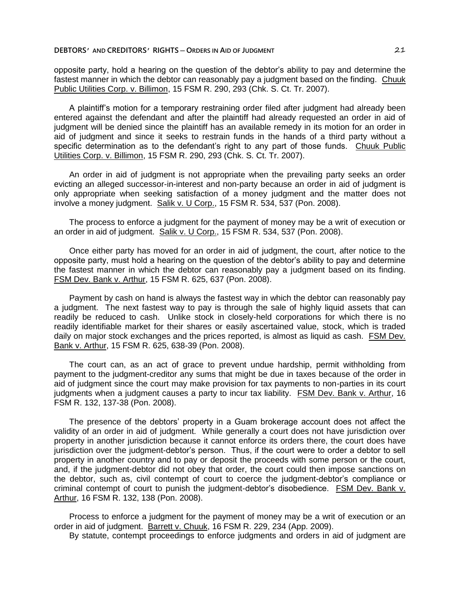opposite party, hold a hearing on the question of the debtor's ability to pay and determine the fastest manner in which the debtor can reasonably pay a judgment based on the finding. Chuuk Public Utilities Corp. v. Billimon, 15 FSM R. 290, 293 (Chk. S. Ct. Tr. 2007).

A plaintiff's motion for a temporary restraining order filed after judgment had already been entered against the defendant and after the plaintiff had already requested an order in aid of judgment will be denied since the plaintiff has an available remedy in its motion for an order in aid of judgment and since it seeks to restrain funds in the hands of a third party without a specific determination as to the defendant's right to any part of those funds. Chuuk Public Utilities Corp. v. Billimon, 15 FSM R. 290, 293 (Chk. S. Ct. Tr. 2007).

An order in aid of judgment is not appropriate when the prevailing party seeks an order evicting an alleged successor-in-interest and non-party because an order in aid of judgment is only appropriate when seeking satisfaction of a money judgment and the matter does not involve a money judgment. Salik v. U Corp., 15 FSM R. 534, 537 (Pon. 2008).

The process to enforce a judgment for the payment of money may be a writ of execution or an order in aid of judgment. Salik v. U Corp., 15 FSM R. 534, 537 (Pon. 2008).

Once either party has moved for an order in aid of judgment, the court, after notice to the opposite party, must hold a hearing on the question of the debtor's ability to pay and determine the fastest manner in which the debtor can reasonably pay a judgment based on its finding. FSM Dev. Bank v. Arthur, 15 FSM R. 625, 637 (Pon. 2008).

Payment by cash on hand is always the fastest way in which the debtor can reasonably pay a judgment. The next fastest way to pay is through the sale of highly liquid assets that can readily be reduced to cash. Unlike stock in closely-held corporations for which there is no readily identifiable market for their shares or easily ascertained value, stock, which is traded daily on major stock exchanges and the prices reported, is almost as liquid as cash. FSM Dev. Bank v. Arthur, 15 FSM R. 625, 638-39 (Pon. 2008).

The court can, as an act of grace to prevent undue hardship, permit withholding from payment to the judgment-creditor any sums that might be due in taxes because of the order in aid of judgment since the court may make provision for tax payments to non-parties in its court judgments when a judgment causes a party to incur tax liability. FSM Dev. Bank v. Arthur, 16 FSM R. 132, 137-38 (Pon. 2008).

The presence of the debtors' property in a Guam brokerage account does not affect the validity of an order in aid of judgment. While generally a court does not have jurisdiction over property in another jurisdiction because it cannot enforce its orders there, the court does have jurisdiction over the judgment-debtor's person. Thus, if the court were to order a debtor to sell property in another country and to pay or deposit the proceeds with some person or the court, and, if the judgment-debtor did not obey that order, the court could then impose sanctions on the debtor, such as, civil contempt of court to coerce the judgment-debtor's compliance or criminal contempt of court to punish the judgment-debtor's disobedience. FSM Dev. Bank v. Arthur, 16 FSM R. 132, 138 (Pon. 2008).

Process to enforce a judgment for the payment of money may be a writ of execution or an order in aid of judgment. Barrett v. Chuuk, 16 FSM R. 229, 234 (App. 2009).

By statute, contempt proceedings to enforce judgments and orders in aid of judgment are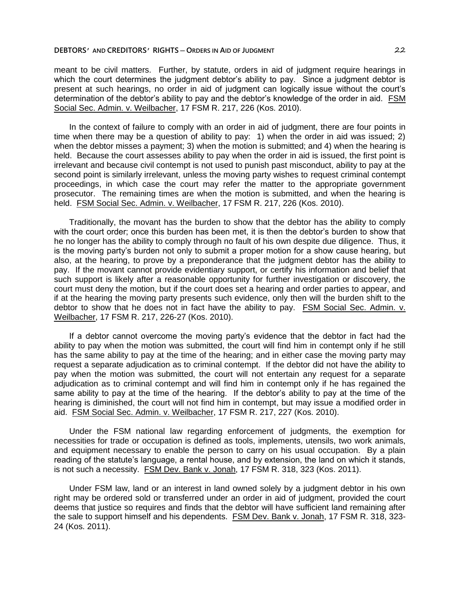meant to be civil matters. Further, by statute, orders in aid of judgment require hearings in which the court determines the judgment debtor's ability to pay. Since a judgment debtor is present at such hearings, no order in aid of judgment can logically issue without the court's determination of the debtor's ability to pay and the debtor's knowledge of the order in aid. FSM Social Sec. Admin. v. Weilbacher, 17 FSM R. 217, 226 (Kos. 2010).

In the context of failure to comply with an order in aid of judgment, there are four points in time when there may be a question of ability to pay: 1) when the order in aid was issued; 2) when the debtor misses a payment; 3) when the motion is submitted; and 4) when the hearing is held. Because the court assesses ability to pay when the order in aid is issued, the first point is irrelevant and because civil contempt is not used to punish past misconduct, ability to pay at the second point is similarly irrelevant, unless the moving party wishes to request criminal contempt proceedings, in which case the court may refer the matter to the appropriate government prosecutor. The remaining times are when the motion is submitted, and when the hearing is held. FSM Social Sec. Admin. v. Weilbacher, 17 FSM R. 217, 226 (Kos. 2010).

Traditionally, the movant has the burden to show that the debtor has the ability to comply with the court order; once this burden has been met, it is then the debtor's burden to show that he no longer has the ability to comply through no fault of his own despite due diligence. Thus, it is the moving party's burden not only to submit a proper motion for a show cause hearing, but also, at the hearing, to prove by a preponderance that the judgment debtor has the ability to pay. If the movant cannot provide evidentiary support, or certify his information and belief that such support is likely after a reasonable opportunity for further investigation or discovery, the court must deny the motion, but if the court does set a hearing and order parties to appear, and if at the hearing the moving party presents such evidence, only then will the burden shift to the debtor to show that he does not in fact have the ability to pay. FSM Social Sec. Admin.  $v_1$ Weilbacher, 17 FSM R. 217, 226-27 (Kos. 2010).

If a debtor cannot overcome the moving party's evidence that the debtor in fact had the ability to pay when the motion was submitted, the court will find him in contempt only if he still has the same ability to pay at the time of the hearing; and in either case the moving party may request a separate adjudication as to criminal contempt. If the debtor did not have the ability to pay when the motion was submitted, the court will not entertain any request for a separate adjudication as to criminal contempt and will find him in contempt only if he has regained the same ability to pay at the time of the hearing. If the debtor's ability to pay at the time of the hearing is diminished, the court will not find him in contempt, but may issue a modified order in aid. FSM Social Sec. Admin. v. Weilbacher, 17 FSM R. 217, 227 (Kos. 2010).

Under the FSM national law regarding enforcement of judgments, the exemption for necessities for trade or occupation is defined as tools, implements, utensils, two work animals, and equipment necessary to enable the person to carry on his usual occupation. By a plain reading of the statute's language, a rental house, and by extension, the land on which it stands, is not such a necessity. FSM Dev. Bank v. Jonah, 17 FSM R. 318, 323 (Kos. 2011).

Under FSM law, land or an interest in land owned solely by a judgment debtor in his own right may be ordered sold or transferred under an order in aid of judgment, provided the court deems that justice so requires and finds that the debtor will have sufficient land remaining after the sale to support himself and his dependents. FSM Dev. Bank v. Jonah, 17 FSM R. 318, 323-24 (Kos. 2011).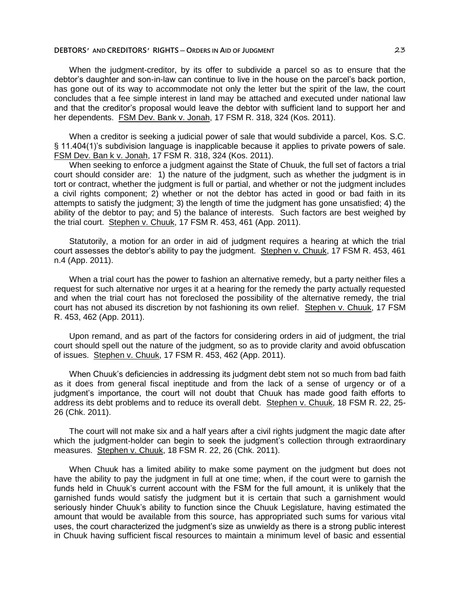When the judgment-creditor, by its offer to subdivide a parcel so as to ensure that the debtor's daughter and son-in-law can continue to live in the house on the parcel's back portion, has gone out of its way to accommodate not only the letter but the spirit of the law, the court concludes that a fee simple interest in land may be attached and executed under national law and that the creditor's proposal would leave the debtor with sufficient land to support her and her dependents. FSM Dev. Bank v. Jonah, 17 FSM R. 318, 324 (Kos. 2011).

When a creditor is seeking a judicial power of sale that would subdivide a parcel, Kos. S.C. § 11.404(1)'s subdivision language is inapplicable because it applies to private powers of sale. FSM Dev. Ban k v. Jonah, 17 FSM R. 318, 324 (Kos. 2011).

When seeking to enforce a judgment against the State of Chuuk, the full set of factors a trial court should consider are: 1) the nature of the judgment, such as whether the judgment is in tort or contract, whether the judgment is full or partial, and whether or not the judgment includes a civil rights component; 2) whether or not the debtor has acted in good or bad faith in its attempts to satisfy the judgment; 3) the length of time the judgment has gone unsatisfied; 4) the ability of the debtor to pay; and 5) the balance of interests. Such factors are best weighed by the trial court. Stephen v. Chuuk, 17 FSM R. 453, 461 (App. 2011).

Statutorily, a motion for an order in aid of judgment requires a hearing at which the trial court assesses the debtor's ability to pay the judgment. Stephen v. Chuuk, 17 FSM R. 453, 461 n.4 (App. 2011).

When a trial court has the power to fashion an alternative remedy, but a party neither files a request for such alternative nor urges it at a hearing for the remedy the party actually requested and when the trial court has not foreclosed the possibility of the alternative remedy, the trial court has not abused its discretion by not fashioning its own relief. Stephen v. Chuuk, 17 FSM R. 453, 462 (App. 2011).

Upon remand, and as part of the factors for considering orders in aid of judgment, the trial court should spell out the nature of the judgment, so as to provide clarity and avoid obfuscation of issues. Stephen v. Chuuk, 17 FSM R. 453, 462 (App. 2011).

When Chuuk's deficiencies in addressing its judgment debt stem not so much from bad faith as it does from general fiscal ineptitude and from the lack of a sense of urgency or of a judgment's importance, the court will not doubt that Chuuk has made good faith efforts to address its debt problems and to reduce its overall debt. Stephen v. Chuuk, 18 FSM R. 22, 25-26 (Chk. 2011).

The court will not make six and a half years after a civil rights judgment the magic date after which the iudgment-holder can begin to seek the judgment's collection through extraordinary measures. Stephen v. Chuuk, 18 FSM R. 22, 26 (Chk. 2011).

When Chuuk has a limited ability to make some payment on the judgment but does not have the ability to pay the judgment in full at one time; when, if the court were to garnish the funds held in Chuuk's current account with the FSM for the full amount, it is unlikely that the garnished funds would satisfy the judgment but it is certain that such a garnishment would seriously hinder Chuuk's ability to function since the Chuuk Legislature, having estimated the amount that would be available from this source, has appropriated such sums for various vital uses, the court characterized the judgment's size as unwieldy as there is a strong public interest in Chuuk having sufficient fiscal resources to maintain a minimum level of basic and essential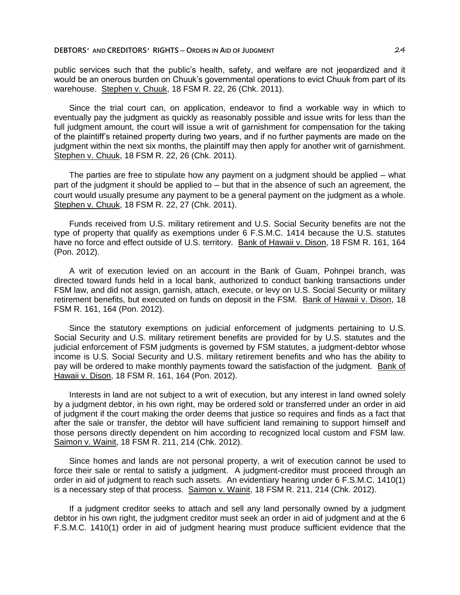public services such that the public's health, safety, and welfare are not jeopardized and it would be an onerous burden on Chuuk's governmental operations to evict Chuuk from part of its warehouse. Stephen v. Chuuk, 18 FSM R. 22, 26 (Chk. 2011).

Since the trial court can, on application, endeavor to find a workable way in which to eventually pay the judgment as quickly as reasonably possible and issue writs for less than the full judgment amount, the court will issue a writ of garnishment for compensation for the taking of the plaintiff's retained property during two years, and if no further payments are made on the judgment within the next six months, the plaintiff may then apply for another writ of garnishment. Stephen v. Chuuk, 18 FSM R. 22, 26 (Chk. 2011).

The parties are free to stipulate how any payment on a judgment should be applied – what part of the judgment it should be applied to  $-$  but that in the absence of such an agreement, the court would usually presume any payment to be a general payment on the judgment as a whole. Stephen v. Chuuk, 18 FSM R. 22, 27 (Chk. 2011).

Funds received from U.S. military retirement and U.S. Social Security benefits are not the type of property that qualify as exemptions under 6 F.S.M.C. 1414 because the U.S. statutes have no force and effect outside of U.S. territory. Bank of Hawaii v. Dison, 18 FSM R. 161, 164 (Pon. 2012).

A writ of execution levied on an account in the Bank of Guam, Pohnpei branch, was directed toward funds held in a local bank, authorized to conduct banking transactions under FSM law, and did not assign, garnish, attach, execute, or levy on U.S. Social Security or military retirement benefits, but executed on funds on deposit in the FSM. Bank of Hawaii v. Dison, 18 FSM R. 161, 164 (Pon. 2012).

Since the statutory exemptions on judicial enforcement of judgments pertaining to U.S. Social Security and U.S. military retirement benefits are provided for by U.S. statutes and the judicial enforcement of FSM judgments is governed by FSM statutes, a judgment-debtor whose income is U.S. Social Security and U.S. military retirement benefits and who has the ability to pay will be ordered to make monthly payments toward the satisfaction of the judgment. Bank of Hawaii v. Dison, 18 FSM R. 161, 164 (Pon. 2012).

Interests in land are not subject to a writ of execution, but any interest in land owned solely by a judgment debtor, in his own right, may be ordered sold or transferred under an order in aid of judgment if the court making the order deems that justice so requires and finds as a fact that after the sale or transfer, the debtor will have sufficient land remaining to support himself and those persons directly dependent on him according to recognized local custom and FSM law. Saimon v. Wainit, 18 FSM R. 211, 214 (Chk. 2012).

Since homes and lands are not personal property, a writ of execution cannot be used to force their sale or rental to satisfy a judgment. A judgment-creditor must proceed through an order in aid of judgment to reach such assets. An evidentiary hearing under 6 F.S.M.C. 1410(1) is a necessary step of that process. Saimon v. Wainit, 18 FSM R. 211, 214 (Chk. 2012).

If a judgment creditor seeks to attach and sell any land personally owned by a judgment debtor in his own right, the judgment creditor must seek an order in aid of judgment and at the 6 F.S.M.C. 1410(1) order in aid of judgment hearing must produce sufficient evidence that the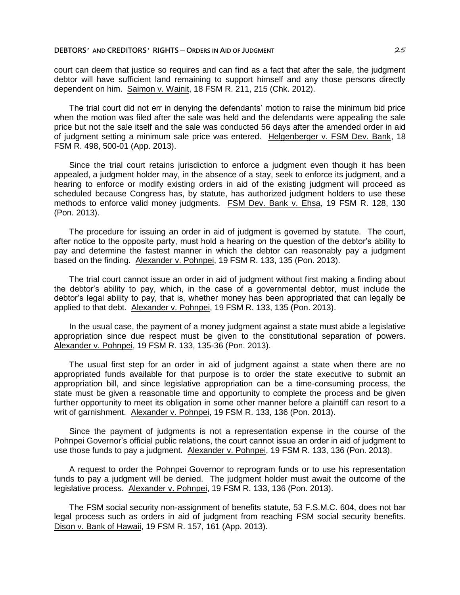court can deem that justice so requires and can find as a fact that after the sale, the judgment debtor will have sufficient land remaining to support himself and any those persons directly dependent on him. Saimon v. Wainit, 18 FSM R. 211, 215 (Chk. 2012).

The trial court did not err in denying the defendants' motion to raise the minimum bid price when the motion was filed after the sale was held and the defendants were appealing the sale price but not the sale itself and the sale was conducted 56 days after the amended order in aid of judgment setting a minimum sale price was entered. Helgenberger v. FSM Dev. Bank, 18 FSM R. 498, 500-01 (App. 2013).

Since the trial court retains jurisdiction to enforce a judgment even though it has been appealed, a judgment holder may, in the absence of a stay, seek to enforce its judgment, and a hearing to enforce or modify existing orders in aid of the existing judgment will proceed as scheduled because Congress has, by statute, has authorized judgment holders to use these methods to enforce valid money judgments. FSM Dev. Bank v. Ehsa, 19 FSM R. 128, 130 (Pon. 2013).

The procedure for issuing an order in aid of judgment is governed by statute. The court, after notice to the opposite party, must hold a hearing on the question of the debtor's ability to pay and determine the fastest manner in which the debtor can reasonably pay a judgment based on the finding. Alexander v. Pohnpei, 19 FSM R. 133, 135 (Pon. 2013).

The trial court cannot issue an order in aid of judgment without first making a finding about the debtor's ability to pay, which, in the case of a governmental debtor, must include the debtor's legal ability to pay, that is, whether money has been appropriated that can legally be applied to that debt. Alexander v. Pohnpei, 19 FSM R. 133, 135 (Pon. 2013).

In the usual case, the payment of a money judgment against a state must abide a legislative appropriation since due respect must be given to the constitutional separation of powers. Alexander v. Pohnpei, 19 FSM R. 133, 135-36 (Pon. 2013).

The usual first step for an order in aid of judgment against a state when there are no appropriated funds available for that purpose is to order the state executive to submit an appropriation bill, and since legislative appropriation can be a time-consuming process, the state must be given a reasonable time and opportunity to complete the process and be given further opportunity to meet its obligation in some other manner before a plaintiff can resort to a writ of garnishment. Alexander v. Pohnpei, 19 FSM R. 133, 136 (Pon. 2013).

Since the payment of judgments is not a representation expense in the course of the Pohnpei Governor's official public relations, the court cannot issue an order in aid of judgment to use those funds to pay a judgment. Alexander v. Pohnpei, 19 FSM R. 133, 136 (Pon. 2013).

A request to order the Pohnpei Governor to reprogram funds or to use his representation funds to pay a judgment will be denied. The judgment holder must await the outcome of the legislative process. Alexander v. Pohnpei, 19 FSM R. 133, 136 (Pon. 2013).

The FSM social security non-assignment of benefits statute, 53 F.S.M.C. 604, does not bar legal process such as orders in aid of judgment from reaching FSM social security benefits. Dison v. Bank of Hawaii, 19 FSM R. 157, 161 (App. 2013).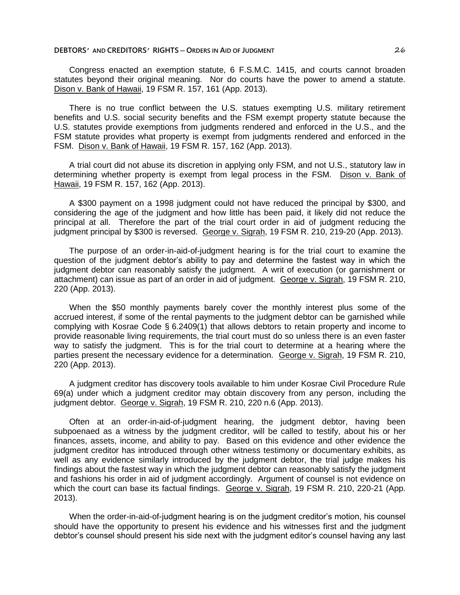Congress enacted an exemption statute, 6 F.S.M.C. 1415, and courts cannot broaden statutes beyond their original meaning. Nor do courts have the power to amend a statute. Dison v. Bank of Hawaii, 19 FSM R. 157, 161 (App. 2013).

There is no true conflict between the U.S. statues exempting U.S. military retirement benefits and U.S. social security benefits and the FSM exempt property statute because the U.S. statutes provide exemptions from judgments rendered and enforced in the U.S., and the FSM statute provides what property is exempt from judgments rendered and enforced in the FSM. Dison v. Bank of Hawaii, 19 FSM R. 157, 162 (App. 2013).

A trial court did not abuse its discretion in applying only FSM, and not U.S., statutory law in determining whether property is exempt from legal process in the FSM. Dison v. Bank of Hawaii, 19 FSM R. 157, 162 (App. 2013).

A \$300 payment on a 1998 judgment could not have reduced the principal by \$300, and considering the age of the judgment and how little has been paid, it likely did not reduce the principal at all. Therefore the part of the trial court order in aid of judgment reducing the judgment principal by \$300 is reversed. George v. Sigrah, 19 FSM R. 210, 219-20 (App. 2013).

The purpose of an order-in-aid-of-judgment hearing is for the trial court to examine the question of the judgment debtor's ability to pay and determine the fastest way in which the judgment debtor can reasonably satisfy the judgment. A writ of execution (or garnishment or attachment) can issue as part of an order in aid of judgment. George v. Sigrah, 19 FSM R. 210, 220 (App. 2013).

When the \$50 monthly payments barely cover the monthly interest plus some of the accrued interest, if some of the rental payments to the judgment debtor can be garnished while complying with Kosrae Code § 6.2409(1) that allows debtors to retain property and income to provide reasonable living requirements, the trial court must do so unless there is an even faster way to satisfy the judgment. This is for the trial court to determine at a hearing where the parties present the necessary evidence for a determination. George v. Sigrah, 19 FSM R. 210, 220 (App. 2013).

A judgment creditor has discovery tools available to him under Kosrae Civil Procedure Rule 69(a) under which a judgment creditor may obtain discovery from any person, including the judgment debtor. George v. Sigrah, 19 FSM R. 210, 220 n.6 (App. 2013).

Often at an order-in-aid-of-judgment hearing, the judgment debtor, having been subpoenaed as a witness by the judgment creditor, will be called to testify, about his or her finances, assets, income, and ability to pay. Based on this evidence and other evidence the judgment creditor has introduced through other witness testimony or documentary exhibits, as well as any evidence similarly introduced by the judgment debtor, the trial judge makes his findings about the fastest way in which the judgment debtor can reasonably satisfy the judgment and fashions his order in aid of judgment accordingly. Argument of counsel is not evidence on which the court can base its factual findings. George v. Sigrah, 19 FSM R. 210, 220-21 (App. 2013).

When the order-in-aid-of-judgment hearing is on the judgment creditor's motion, his counsel should have the opportunity to present his evidence and his witnesses first and the judgment debtor's counsel should present his side next with the judgment editor's counsel having any last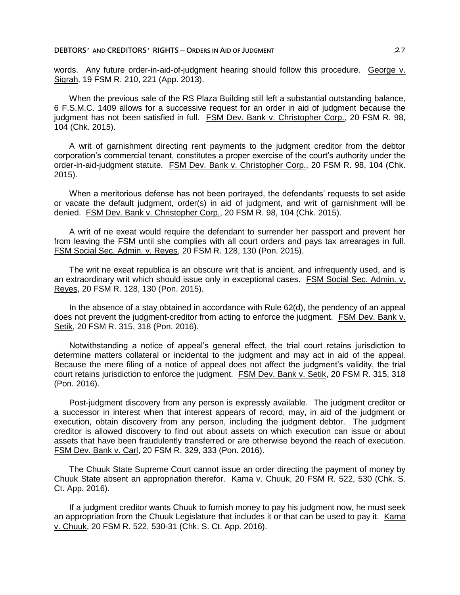words. Any future order-in-aid-of-judgment hearing should follow this procedure. George v. Sigrah, 19 FSM R. 210, 221 (App. 2013).

When the previous sale of the RS Plaza Building still left a substantial outstanding balance, 6 F.S.M.C. 1409 allows for a successive request for an order in aid of judgment because the judgment has not been satisfied in full. FSM Dev. Bank v. Christopher Corp., 20 FSM R. 98, 104 (Chk. 2015).

A writ of garnishment directing rent payments to the judgment creditor from the debtor corporation's commercial tenant, constitutes a proper exercise of the court's authority under the order-in-aid-judgment statute. FSM Dev. Bank v. Christopher Corp., 20 FSM R. 98, 104 (Chk. 2015).

When a meritorious defense has not been portrayed, the defendants' requests to set aside or vacate the default judgment, order(s) in aid of judgment, and writ of garnishment will be denied. FSM Dev. Bank v. Christopher Corp., 20 FSM R. 98, 104 (Chk. 2015).

A writ of ne exeat would require the defendant to surrender her passport and prevent her from leaving the FSM until she complies with all court orders and pays tax arrearages in full. FSM Social Sec. Admin. v. Reyes, 20 FSM R. 128, 130 (Pon. 2015).

The writ ne exeat republica is an obscure writ that is ancient, and infrequently used, and is an extraordinary writ which should issue only in exceptional cases. FSM Social Sec. Admin. v. Reyes, 20 FSM R. 128, 130 (Pon. 2015).

In the absence of a stay obtained in accordance with Rule 62(d), the pendency of an appeal does not prevent the judgment-creditor from acting to enforce the judgment. FSM Dev. Bank v. Setik, 20 FSM R. 315, 318 (Pon. 2016).

Notwithstanding a notice of appeal's general effect, the trial court retains jurisdiction to determine matters collateral or incidental to the judgment and may act in aid of the appeal. Because the mere filing of a notice of appeal does not affect the judgment's validity, the trial court retains jurisdiction to enforce the judgment. FSM Dev. Bank v. Setik, 20 FSM R. 315, 318 (Pon. 2016).

Post-judgment discovery from any person is expressly available. The judgment creditor or a successor in interest when that interest appears of record, may, in aid of the judgment or execution, obtain discovery from any person, including the judgment debtor. The judgment creditor is allowed discovery to find out about assets on which execution can issue or about assets that have been fraudulently transferred or are otherwise beyond the reach of execution. FSM Dev. Bank v. Carl, 20 FSM R. 329, 333 (Pon. 2016).

The Chuuk State Supreme Court cannot issue an order directing the payment of money by Chuuk State absent an appropriation therefor. Kama v. Chuuk, 20 FSM R. 522, 530 (Chk. S. Ct. App. 2016).

If a judgment creditor wants Chuuk to furnish money to pay his judgment now, he must seek an appropriation from the Chuuk Legislature that includes it or that can be used to pay it. Kama v. Chuuk, 20 FSM R. 522, 530-31 (Chk. S. Ct. App. 2016).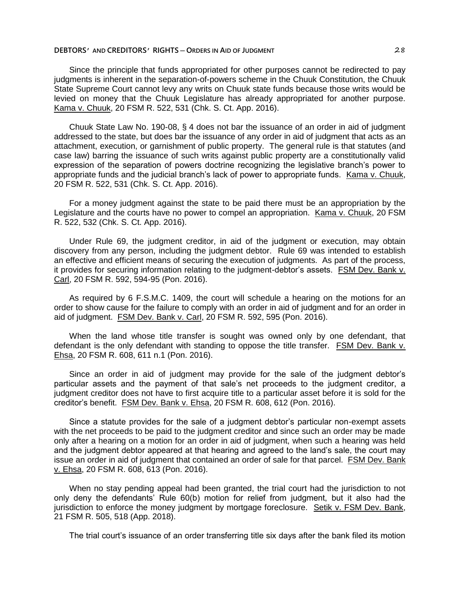Since the principle that funds appropriated for other purposes cannot be redirected to pay judgments is inherent in the separation-of-powers scheme in the Chuuk Constitution, the Chuuk State Supreme Court cannot levy any writs on Chuuk state funds because those writs would be levied on money that the Chuuk Legislature has already appropriated for another purpose. Kama v. Chuuk, 20 FSM R. 522, 531 (Chk. S. Ct. App. 2016).

Chuuk State Law No. 190-08, § 4 does not bar the issuance of an order in aid of judgment addressed to the state, but does bar the issuance of any order in aid of judgment that acts as an attachment, execution, or garnishment of public property. The general rule is that statutes (and case law) barring the issuance of such writs against public property are a constitutionally valid expression of the separation of powers doctrine recognizing the legislative branch's power to appropriate funds and the judicial branch's lack of power to appropriate funds. Kama v. Chuuk, 20 FSM R. 522, 531 (Chk. S. Ct. App. 2016).

For a money judgment against the state to be paid there must be an appropriation by the Legislature and the courts have no power to compel an appropriation. Kama v. Chuuk, 20 FSM R. 522, 532 (Chk. S. Ct. App. 2016).

Under Rule 69, the judgment creditor, in aid of the judgment or execution, may obtain discovery from any person, including the judgment debtor. Rule 69 was intended to establish an effective and efficient means of securing the execution of judgments. As part of the process, it provides for securing information relating to the judgment-debtor's assets. FSM Dev. Bank v. Carl, 20 FSM R. 592, 594-95 (Pon. 2016).

As required by 6 F.S.M.C. 1409, the court will schedule a hearing on the motions for an order to show cause for the failure to comply with an order in aid of judgment and for an order in aid of judgment. FSM Dev. Bank v. Carl, 20 FSM R. 592, 595 (Pon. 2016).

When the land whose title transfer is sought was owned only by one defendant, that defendant is the only defendant with standing to oppose the title transfer. FSM Dev. Bank v. Ehsa, 20 FSM R. 608, 611 n.1 (Pon. 2016).

Since an order in aid of judgment may provide for the sale of the judgment debtor's particular assets and the payment of that sale's net proceeds to the judgment creditor, a judgment creditor does not have to first acquire title to a particular asset before it is sold for the creditor's benefit. FSM Dev. Bank v. Ehsa, 20 FSM R. 608, 612 (Pon. 2016).

Since a statute provides for the sale of a judgment debtor's particular non-exempt assets with the net proceeds to be paid to the judgment creditor and since such an order may be made only after a hearing on a motion for an order in aid of judgment, when such a hearing was held and the judgment debtor appeared at that hearing and agreed to the land's sale, the court may issue an order in aid of judgment that contained an order of sale for that parcel. FSM Dev. Bank v. Ehsa, 20 FSM R. 608, 613 (Pon. 2016).

When no stay pending appeal had been granted, the trial court had the jurisdiction to not only deny the defendants' Rule 60(b) motion for relief from judgment, but it also had the jurisdiction to enforce the money judgment by mortgage foreclosure. Setik v. FSM Dev. Bank, 21 FSM R. 505, 518 (App. 2018).

The trial court's issuance of an order transferring title six days after the bank filed its motion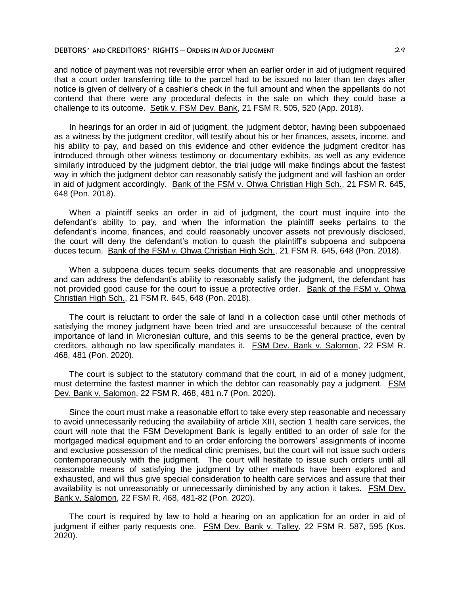and notice of payment was not reversible error when an earlier order in aid of judgment required that a court order transferring title to the parcel had to be issued no later than ten days after notice is given of delivery of a cashier's check in the full amount and when the appellants do not contend that there were any procedural defects in the sale on which they could base a challenge to its outcome. Setik v. FSM Dev. Bank, 21 FSM R. 505, 520 (App. 2018).

In hearings for an order in aid of judgment, the judgment debtor, having been subpoenaed as a witness by the judgment creditor, will testify about his or her finances, assets, income, and his ability to pay, and based on this evidence and other evidence the judgment creditor has introduced through other witness testimony or documentary exhibits, as well as any evidence similarly introduced by the judgment debtor, the trial judge will make findings about the fastest way in which the judgment debtor can reasonably satisfy the judgment and will fashion an order in aid of judgment accordingly. Bank of the FSM v. Ohwa Christian High Sch., 21 FSM R. 645, 648 (Pon. 2018).

When a plaintiff seeks an order in aid of judgment, the court must inquire into the defendant's ability to pay, and when the information the plaintiff seeks pertains to the defendant's income, finances, and could reasonably uncover assets not previously disclosed, the court will deny the defendant's motion to quash the plaintiff's subpoena and subpoena duces tecum. Bank of the FSM v. Ohwa Christian High Sch., 21 FSM R. 645, 648 (Pon. 2018).

When a subpoena duces tecum seeks documents that are reasonable and unoppressive and can address the defendant's ability to reasonably satisfy the judgment, the defendant has not provided good cause for the court to issue a protective order. Bank of the FSM v. Ohwa Christian High Sch., 21 FSM R. 645, 648 (Pon. 2018).

The court is reluctant to order the sale of land in a collection case until other methods of satisfying the money judgment have been tried and are unsuccessful because of the central importance of land in Micronesian culture, and this seems to be the general practice, even by creditors, although no law specifically mandates it. FSM Dev. Bank v. Salomon, 22 FSM R. 468, 481 (Pon. 2020).

The court is subject to the statutory command that the court, in aid of a money judgment, must determine the fastest manner in which the debtor can reasonably pay a judgment. FSM Dev. Bank v. Salomon, 22 FSM R. 468, 481 n.7 (Pon. 2020).

Since the court must make a reasonable effort to take every step reasonable and necessary to avoid unnecessarily reducing the availability of article XIII, section 1 health care services, the court will note that the FSM Development Bank is legally entitled to an order of sale for the mortgaged medical equipment and to an order enforcing the borrowers' assignments of income and exclusive possession of the medical clinic premises, but the court will not issue such orders contemporaneously with the judgment. The court will hesitate to issue such orders until all reasonable means of satisfying the judgment by other methods have been explored and exhausted, and will thus give special consideration to health care services and assure that their availability is not unreasonably or unnecessarily diminished by any action it takes. FSM Dev. Bank v. Salomon, 22 FSM R. 468, 481-82 (Pon. 2020).

The court is required by law to hold a hearing on an application for an order in aid of judgment if either party requests one. FSM Dev. Bank v. Talley, 22 FSM R. 587, 595 (Kos. 2020).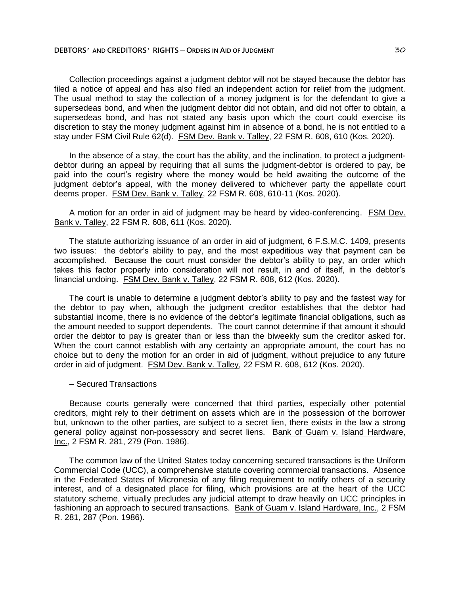Collection proceedings against a judgment debtor will not be stayed because the debtor has filed a notice of appeal and has also filed an independent action for relief from the judgment. The usual method to stay the collection of a money judgment is for the defendant to give a supersedeas bond, and when the judgment debtor did not obtain, and did not offer to obtain, a supersedeas bond, and has not stated any basis upon which the court could exercise its discretion to stay the money judgment against him in absence of a bond, he is not entitled to a stay under FSM Civil Rule 62(d). FSM Dev. Bank v. Talley, 22 FSM R. 608, 610 (Kos. 2020).

In the absence of a stay, the court has the ability, and the inclination, to protect a judgmentdebtor during an appeal by requiring that all sums the judgment-debtor is ordered to pay, be paid into the court's registry where the money would be held awaiting the outcome of the judgment debtor's appeal, with the money delivered to whichever party the appellate court deems proper. FSM Dev. Bank v. Talley, 22 FSM R. 608, 610-11 (Kos. 2020).

A motion for an order in aid of judgment may be heard by video-conferencing. FSM Dev. Bank v. Talley, 22 FSM R. 608, 611 (Kos. 2020).

The statute authorizing issuance of an order in aid of judgment, 6 F.S.M.C. 1409, presents two issues: the debtor's ability to pay, and the most expeditious way that payment can be accomplished. Because the court must consider the debtor's ability to pay, an order which takes this factor properly into consideration will not result, in and of itself, in the debtor's financial undoing. FSM Dev. Bank v. Talley, 22 FSM R. 608, 612 (Kos. 2020).

The court is unable to determine a judgment debtor's ability to pay and the fastest way for the debtor to pay when, although the judgment creditor establishes that the debtor had substantial income, there is no evidence of the debtor's legitimate financial obligations, such as the amount needed to support dependents. The court cannot determine if that amount it should order the debtor to pay is greater than or less than the biweekly sum the creditor asked for. When the court cannot establish with any certainty an appropriate amount, the court has no choice but to deny the motion for an order in aid of judgment, without prejudice to any future order in aid of judgment. FSM Dev. Bank v. Talley, 22 FSM R. 608, 612 (Kos. 2020).

#### ─ Secured Transactions

Because courts generally were concerned that third parties, especially other potential creditors, might rely to their detriment on assets which are in the possession of the borrower but, unknown to the other parties, are subject to a secret lien, there exists in the law a strong general policy against non-possessory and secret liens. Bank of Guam v. Island Hardware, Inc., 2 FSM R. 281, 279 (Pon. 1986).

The common law of the United States today concerning secured transactions is the Uniform Commercial Code (UCC), a comprehensive statute covering commercial transactions. Absence in the Federated States of Micronesia of any filing requirement to notify others of a security interest, and of a designated place for filing, which provisions are at the heart of the UCC statutory scheme, virtually precludes any judicial attempt to draw heavily on UCC principles in fashioning an approach to secured transactions. Bank of Guam v. Island Hardware, Inc., 2 FSM R. 281, 287 (Pon. 1986).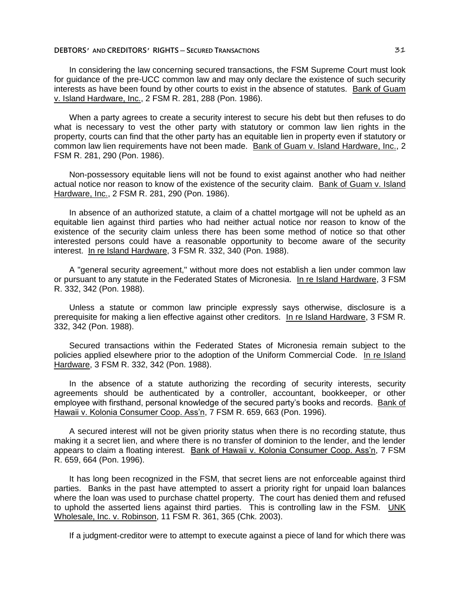In considering the law concerning secured transactions, the FSM Supreme Court must look for guidance of the pre-UCC common law and may only declare the existence of such security interests as have been found by other courts to exist in the absence of statutes. Bank of Guam v. Island Hardware, Inc., 2 FSM R. 281, 288 (Pon. 1986).

When a party agrees to create a security interest to secure his debt but then refuses to do what is necessary to vest the other party with statutory or common law lien rights in the property, courts can find that the other party has an equitable lien in property even if statutory or common law lien requirements have not been made. Bank of Guam v. Island Hardware, Inc., 2 FSM R. 281, 290 (Pon. 1986).

Non-possessory equitable liens will not be found to exist against another who had neither actual notice nor reason to know of the existence of the security claim. Bank of Guam v. Island Hardware, Inc., 2 FSM R. 281, 290 (Pon. 1986).

In absence of an authorized statute, a claim of a chattel mortgage will not be upheld as an equitable lien against third parties who had neither actual notice nor reason to know of the existence of the security claim unless there has been some method of notice so that other interested persons could have a reasonable opportunity to become aware of the security interest. In re Island Hardware, 3 FSM R. 332, 340 (Pon. 1988).

A "general security agreement," without more does not establish a lien under common law or pursuant to any statute in the Federated States of Micronesia. In re Island Hardware, 3 FSM R. 332, 342 (Pon. 1988).

Unless a statute or common law principle expressly says otherwise, disclosure is a prerequisite for making a lien effective against other creditors. In re Island Hardware, 3 FSM R. 332, 342 (Pon. 1988).

Secured transactions within the Federated States of Micronesia remain subject to the policies applied elsewhere prior to the adoption of the Uniform Commercial Code. In re Island Hardware, 3 FSM R. 332, 342 (Pon. 1988).

In the absence of a statute authorizing the recording of security interests, security agreements should be authenticated by a controller, accountant, bookkeeper, or other employee with firsthand, personal knowledge of the secured party's books and records. Bank of Hawaii v. Kolonia Consumer Coop. Ass'n, 7 FSM R. 659, 663 (Pon. 1996).

A secured interest will not be given priority status when there is no recording statute, thus making it a secret lien, and where there is no transfer of dominion to the lender, and the lender appears to claim a floating interest. Bank of Hawaii v. Kolonia Consumer Coop. Ass'n, 7 FSM R. 659, 664 (Pon. 1996).

It has long been recognized in the FSM, that secret liens are not enforceable against third parties. Banks in the past have attempted to assert a priority right for unpaid loan balances where the loan was used to purchase chattel property. The court has denied them and refused to uphold the asserted liens against third parties. This is controlling law in the FSM. UNK Wholesale, Inc. v. Robinson, 11 FSM R. 361, 365 (Chk. 2003).

If a judgment-creditor were to attempt to execute against a piece of land for which there was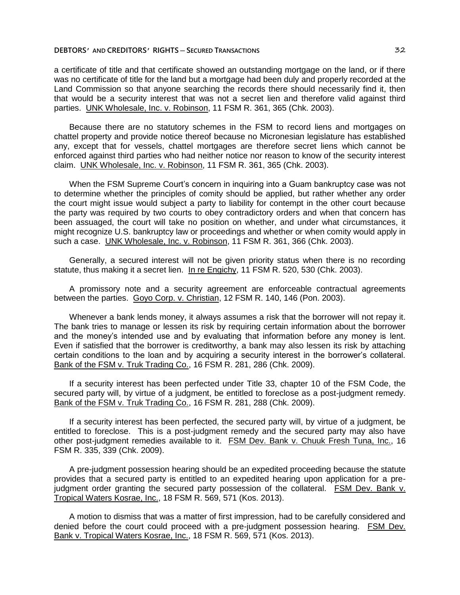a certificate of title and that certificate showed an outstanding mortgage on the land, or if there was no certificate of title for the land but a mortgage had been duly and properly recorded at the Land Commission so that anyone searching the records there should necessarily find it, then that would be a security interest that was not a secret lien and therefore valid against third parties. UNK Wholesale, Inc. v. Robinson, 11 FSM R. 361, 365 (Chk. 2003).

Because there are no statutory schemes in the FSM to record liens and mortgages on chattel property and provide notice thereof because no Micronesian legislature has established any, except that for vessels, chattel mortgages are therefore secret liens which cannot be enforced against third parties who had neither notice nor reason to know of the security interest claim. UNK Wholesale, Inc. v. Robinson, 11 FSM R. 361, 365 (Chk. 2003).

When the FSM Supreme Court's concern in inquiring into a Guam bankruptcy case was not to determine whether the principles of comity should be applied, but rather whether any order the court might issue would subject a party to liability for contempt in the other court because the party was required by two courts to obey contradictory orders and when that concern has been assuaged, the court will take no position on whether, and under what circumstances, it might recognize U.S. bankruptcy law or proceedings and whether or when comity would apply in such a case. UNK Wholesale, Inc. v. Robinson, 11 FSM R. 361, 366 (Chk. 2003).

Generally, a secured interest will not be given priority status when there is no recording statute, thus making it a secret lien. In re Engichy, 11 FSM R. 520, 530 (Chk. 2003).

A promissory note and a security agreement are enforceable contractual agreements between the parties. Goyo Corp. v. Christian, 12 FSM R. 140, 146 (Pon. 2003).

Whenever a bank lends money, it always assumes a risk that the borrower will not repay it. The bank tries to manage or lessen its risk by requiring certain information about the borrower and the money's intended use and by evaluating that information before any money is lent. Even if satisfied that the borrower is creditworthy, a bank may also lessen its risk by attaching certain conditions to the loan and by acquiring a security interest in the borrower's collateral. Bank of the FSM v. Truk Trading Co., 16 FSM R. 281, 286 (Chk. 2009).

If a security interest has been perfected under Title 33, chapter 10 of the FSM Code, the secured party will, by virtue of a judgment, be entitled to foreclose as a post-judgment remedy. Bank of the FSM v. Truk Trading Co., 16 FSM R. 281, 288 (Chk. 2009).

If a security interest has been perfected, the secured party will, by virtue of a judgment, be entitled to foreclose. This is a post-judgment remedy and the secured party may also have other post-judgment remedies available to it. FSM Dev. Bank v. Chuuk Fresh Tuna, Inc., 16 FSM R. 335, 339 (Chk. 2009).

A pre-judgment possession hearing should be an expedited proceeding because the statute provides that a secured party is entitled to an expedited hearing upon application for a prejudgment order granting the secured party possession of the collateral. FSM Dev. Bank v. Tropical Waters Kosrae, Inc., 18 FSM R. 569, 571 (Kos. 2013).

A motion to dismiss that was a matter of first impression, had to be carefully considered and denied before the court could proceed with a pre-judgment possession hearing. FSM Dev. Bank v. Tropical Waters Kosrae, Inc., 18 FSM R. 569, 571 (Kos. 2013).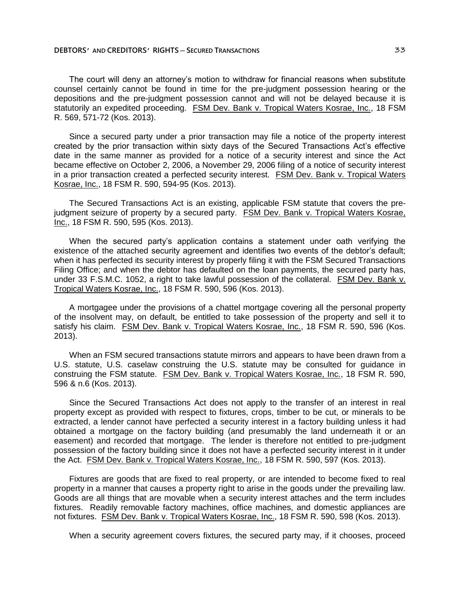The court will deny an attorney's motion to withdraw for financial reasons when substitute counsel certainly cannot be found in time for the pre-judgment possession hearing or the depositions and the pre-judgment possession cannot and will not be delayed because it is statutorily an expedited proceeding. FSM Dev. Bank v. Tropical Waters Kosrae, Inc., 18 FSM R. 569, 571-72 (Kos. 2013).

Since a secured party under a prior transaction may file a notice of the property interest created by the prior transaction within sixty days of the Secured Transactions Act's effective date in the same manner as provided for a notice of a security interest and since the Act became effective on October 2, 2006, a November 29, 2006 filing of a notice of security interest in a prior transaction created a perfected security interest. FSM Dev. Bank v. Tropical Waters Kosrae, Inc., 18 FSM R. 590, 594-95 (Kos. 2013).

The Secured Transactions Act is an existing, applicable FSM statute that covers the prejudgment seizure of property by a secured party. FSM Dev. Bank v. Tropical Waters Kosrae, Inc., 18 FSM R. 590, 595 (Kos. 2013).

When the secured party's application contains a statement under oath verifying the existence of the attached security agreement and identifies two events of the debtor's default; when it has perfected its security interest by properly filing it with the FSM Secured Transactions Filing Office; and when the debtor has defaulted on the loan payments, the secured party has, under 33 F.S.M.C. 1052, a right to take lawful possession of the collateral. FSM Dev. Bank v. Tropical Waters Kosrae, Inc., 18 FSM R. 590, 596 (Kos. 2013).

A mortgagee under the provisions of a chattel mortgage covering all the personal property of the insolvent may, on default, be entitled to take possession of the property and sell it to satisfy his claim. FSM Dev. Bank v. Tropical Waters Kosrae, Inc., 18 FSM R. 590, 596 (Kos. 2013).

When an FSM secured transactions statute mirrors and appears to have been drawn from a U.S. statute, U.S. caselaw construing the U.S. statute may be consulted for guidance in construing the FSM statute. FSM Dev. Bank v. Tropical Waters Kosrae, Inc., 18 FSM R. 590, 596 & n.6 (Kos. 2013).

Since the Secured Transactions Act does not apply to the transfer of an interest in real property except as provided with respect to fixtures, crops, timber to be cut, or minerals to be extracted, a lender cannot have perfected a security interest in a factory building unless it had obtained a mortgage on the factory building (and presumably the land underneath it or an easement) and recorded that mortgage. The lender is therefore not entitled to pre-judgment possession of the factory building since it does not have a perfected security interest in it under the Act. FSM Dev. Bank v. Tropical Waters Kosrae, Inc., 18 FSM R. 590, 597 (Kos. 2013).

Fixtures are goods that are fixed to real property, or are intended to become fixed to real property in a manner that causes a property right to arise in the goods under the prevailing law. Goods are all things that are movable when a security interest attaches and the term includes fixtures. Readily removable factory machines, office machines, and domestic appliances are not fixtures. FSM Dev. Bank v. Tropical Waters Kosrae, Inc., 18 FSM R. 590, 598 (Kos. 2013).

When a security agreement covers fixtures, the secured party may, if it chooses, proceed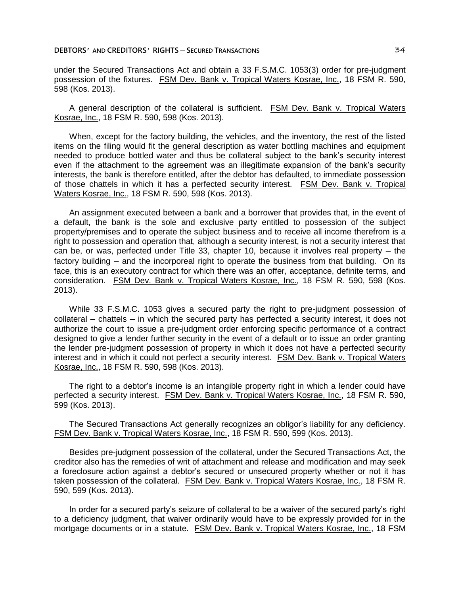under the Secured Transactions Act and obtain a 33 F.S.M.C. 1053(3) order for pre-judgment possession of the fixtures. FSM Dev. Bank v. Tropical Waters Kosrae, Inc., 18 FSM R. 590, 598 (Kos. 2013).

A general description of the collateral is sufficient. FSM Dev. Bank v. Tropical Waters Kosrae, Inc., 18 FSM R. 590, 598 (Kos. 2013).

When, except for the factory building, the vehicles, and the inventory, the rest of the listed items on the filing would fit the general description as water bottling machines and equipment needed to produce bottled water and thus be collateral subject to the bank's security interest even if the attachment to the agreement was an illegitimate expansion of the bank's security interests, the bank is therefore entitled, after the debtor has defaulted, to immediate possession of those chattels in which it has a perfected security interest. FSM Dev. Bank v. Tropical Waters Kosrae, Inc., 18 FSM R. 590, 598 (Kos. 2013).

An assignment executed between a bank and a borrower that provides that, in the event of a default, the bank is the sole and exclusive party entitled to possession of the subject property/premises and to operate the subject business and to receive all income therefrom is a right to possession and operation that, although a security interest, is not a security interest that can be, or was, perfected under Title 33, chapter 10, because it involves real property  $-$  the factory building — and the incorporeal right to operate the business from that building. On its face, this is an executory contract for which there was an offer, acceptance, definite terms, and consideration. FSM Dev. Bank v. Tropical Waters Kosrae, Inc., 18 FSM R. 590, 598 (Kos. 2013).

While 33 F.S.M.C. 1053 gives a secured party the right to pre-judgment possession of collateral – chattels – in which the secured party has perfected a security interest, it does not authorize the court to issue a pre-judgment order enforcing specific performance of a contract designed to give a lender further security in the event of a default or to issue an order granting the lender pre-judgment possession of property in which it does not have a perfected security interest and in which it could not perfect a security interest. FSM Dev. Bank v. Tropical Waters Kosrae, Inc., 18 FSM R. 590, 598 (Kos. 2013).

The right to a debtor's income is an intangible property right in which a lender could have perfected a security interest. FSM Dev. Bank v. Tropical Waters Kosrae, Inc., 18 FSM R. 590, 599 (Kos. 2013).

The Secured Transactions Act generally recognizes an obligor's liability for any deficiency. FSM Dev. Bank v. Tropical Waters Kosrae, Inc., 18 FSM R. 590, 599 (Kos. 2013).

Besides pre-judgment possession of the collateral, under the Secured Transactions Act, the creditor also has the remedies of writ of attachment and release and modification and may seek a foreclosure action against a debtor's secured or unsecured property whether or not it has taken possession of the collateral. FSM Dev. Bank v. Tropical Waters Kosrae, Inc., 18 FSM R. 590, 599 (Kos. 2013).

In order for a secured party's seizure of collateral to be a waiver of the secured party's right to a deficiency judgment, that waiver ordinarily would have to be expressly provided for in the mortgage documents or in a statute. FSM Dev. Bank v. Tropical Waters Kosrae, Inc., 18 FSM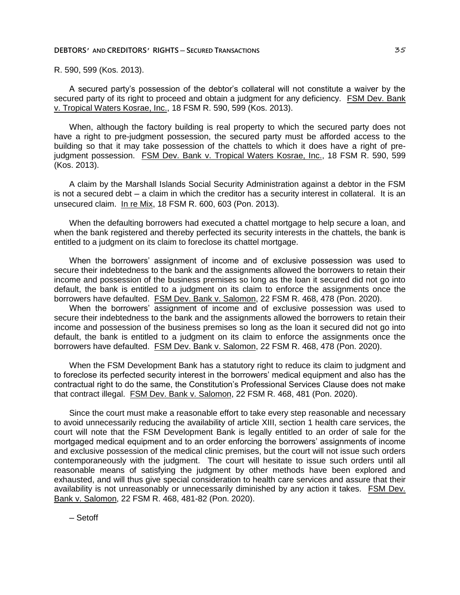R. 590, 599 (Kos. 2013).

A secured party's possession of the debtor's collateral will not constitute a waiver by the secured party of its right to proceed and obtain a judgment for any deficiency. FSM Dev. Bank v. Tropical Waters Kosrae, Inc., 18 FSM R. 590, 599 (Kos. 2013).

When, although the factory building is real property to which the secured party does not have a right to pre-judgment possession, the secured party must be afforded access to the building so that it may take possession of the chattels to which it does have a right of prejudgment possession. FSM Dev. Bank v. Tropical Waters Kosrae, Inc., 18 FSM R. 590, 599 (Kos. 2013).

A claim by the Marshall Islands Social Security Administration against a debtor in the FSM is not a secured debt – a claim in which the creditor has a security interest in collateral. It is an unsecured claim. In re Mix, 18 FSM R. 600, 603 (Pon. 2013).

When the defaulting borrowers had executed a chattel mortgage to help secure a loan, and when the bank registered and thereby perfected its security interests in the chattels, the bank is entitled to a judgment on its claim to foreclose its chattel mortgage.

When the borrowers' assignment of income and of exclusive possession was used to secure their indebtedness to the bank and the assignments allowed the borrowers to retain their income and possession of the business premises so long as the loan it secured did not go into default, the bank is entitled to a judgment on its claim to enforce the assignments once the borrowers have defaulted. FSM Dev. Bank v. Salomon, 22 FSM R. 468, 478 (Pon. 2020).

When the borrowers' assignment of income and of exclusive possession was used to secure their indebtedness to the bank and the assignments allowed the borrowers to retain their income and possession of the business premises so long as the loan it secured did not go into default, the bank is entitled to a judgment on its claim to enforce the assignments once the borrowers have defaulted. FSM Dev. Bank v. Salomon, 22 FSM R. 468, 478 (Pon. 2020).

When the FSM Development Bank has a statutory right to reduce its claim to judgment and to foreclose its perfected security interest in the borrowers' medical equipment and also has the contractual right to do the same, the Constitution's Professional Services Clause does not make that contract illegal. FSM Dev. Bank v. Salomon, 22 FSM R. 468, 481 (Pon. 2020).

Since the court must make a reasonable effort to take every step reasonable and necessary to avoid unnecessarily reducing the availability of article XIII, section 1 health care services, the court will note that the FSM Development Bank is legally entitled to an order of sale for the mortgaged medical equipment and to an order enforcing the borrowers' assignments of income and exclusive possession of the medical clinic premises, but the court will not issue such orders contemporaneously with the judgment. The court will hesitate to issue such orders until all reasonable means of satisfying the judgment by other methods have been explored and exhausted, and will thus give special consideration to health care services and assure that their availability is not unreasonably or unnecessarily diminished by any action it takes. FSM Dev. Bank v. Salomon, 22 FSM R. 468, 481-82 (Pon. 2020).

─ Setoff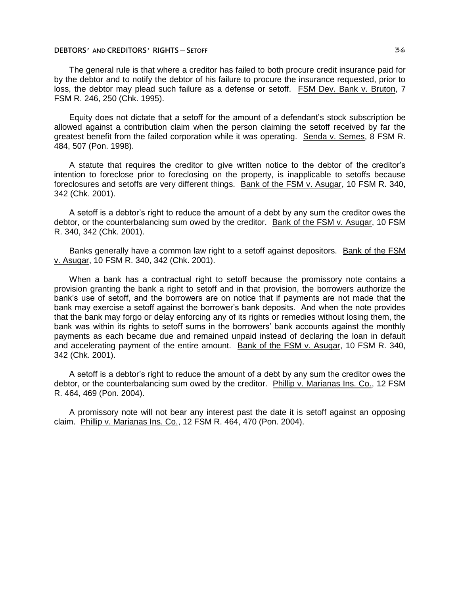# **DEBTORS**<sup>*'*</sup> **AND CREDITORS**<sup>*'*</sup> **RIGHTS** — **SETOFF** 36

The general rule is that where a creditor has failed to both procure credit insurance paid for by the debtor and to notify the debtor of his failure to procure the insurance requested, prior to loss, the debtor may plead such failure as a defense or setoff. FSM Dev. Bank v. Bruton, 7 FSM R. 246, 250 (Chk. 1995).

Equity does not dictate that a setoff for the amount of a defendant's stock subscription be allowed against a contribution claim when the person claiming the setoff received by far the greatest benefit from the failed corporation while it was operating. Senda v. Semes, 8 FSM R. 484, 507 (Pon. 1998).

A statute that requires the creditor to give written notice to the debtor of the creditor's intention to foreclose prior to foreclosing on the property, is inapplicable to setoffs because foreclosures and setoffs are very different things. Bank of the FSM v. Asugar, 10 FSM R. 340, 342 (Chk. 2001).

A setoff is a debtor's right to reduce the amount of a debt by any sum the creditor owes the debtor, or the counterbalancing sum owed by the creditor. Bank of the FSM v. Asugar, 10 FSM R. 340, 342 (Chk. 2001).

Banks generally have a common law right to a setoff against depositors. Bank of the FSM v. Asugar, 10 FSM R. 340, 342 (Chk. 2001).

When a bank has a contractual right to setoff because the promissory note contains a provision granting the bank a right to setoff and in that provision, the borrowers authorize the bank's use of setoff, and the borrowers are on notice that if payments are not made that the bank may exercise a setoff against the borrower's bank deposits. And when the note provides that the bank may forgo or delay enforcing any of its rights or remedies without losing them, the bank was within its rights to setoff sums in the borrowers' bank accounts against the monthly payments as each became due and remained unpaid instead of declaring the loan in default and accelerating payment of the entire amount. Bank of the FSM v. Asugar, 10 FSM R. 340, 342 (Chk. 2001).

A setoff is a debtor's right to reduce the amount of a debt by any sum the creditor owes the debtor, or the counterbalancing sum owed by the creditor. Phillip v. Marianas Ins. Co., 12 FSM R. 464, 469 (Pon. 2004).

A promissory note will not bear any interest past the date it is setoff against an opposing claim. Phillip v. Marianas Ins. Co., 12 FSM R. 464, 470 (Pon. 2004).